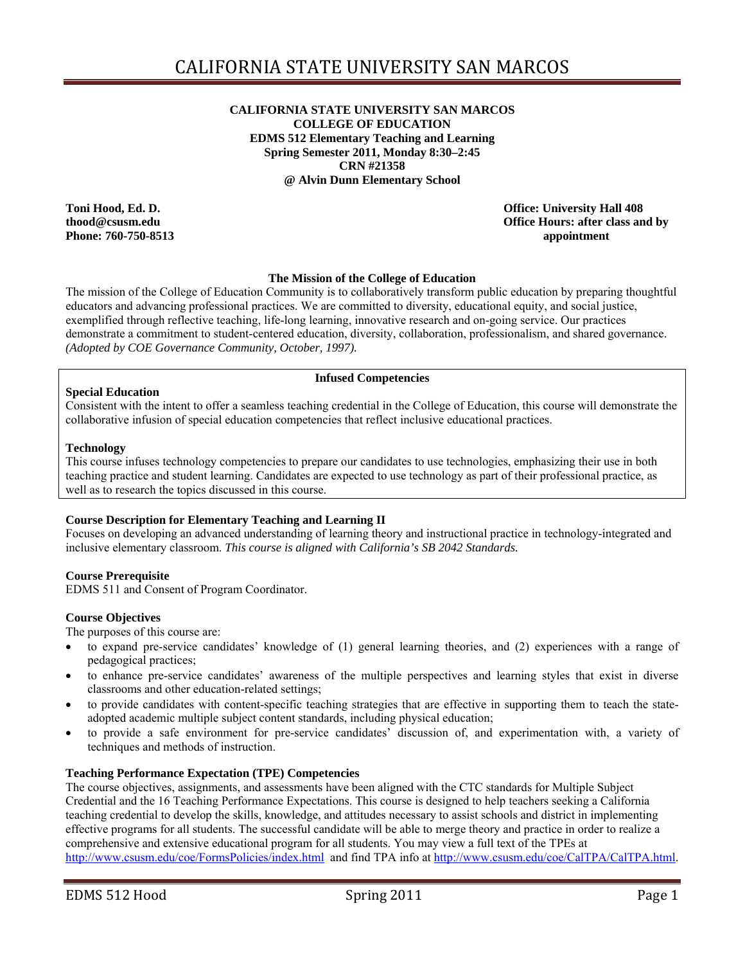#### **@ Alvin Dunn Elementary School CALIFORNIA STATE UNIVERSITY SAN MARCOS COLLEGE OF EDUCATION EDMS 512 Elementary Teaching and Learning Spring Semester 2011, Monday 8:30–2:45 CRN #21358**

Toni Hood, Ed. D. **Phone: 760-750-8513 appointment** 

**Office: University Hall 408 thood@csusm.edu Office Hours: after class and by** 

#### **The Mission of the College of Education**

The mission of the College of Education Community is to collaboratively transform public education by preparing thoughtful educators and advancing professional practices. We are committed to diversity, educational equity, and social justice, exemplified through reflective teaching, life-long learning, innovative research and on-going service. Our practices demonstrate a commitment to student-centered education, diversity, collaboration, professionalism, and shared governance. *(Adopted by COE Governance Community, October, 1997).* 

### **Infused Competencies**

#### **Special Education**

Consistent with the intent to offer a seamless teaching credential in the College of Education, this course will demonstrate the collaborative infusion of special education competencies that reflect inclusive educational practices.

#### **Technology**

 This course infuses technology competencies to prepare our candidates to use technologies, emphasizing their use in both teaching practice and student learning. Candidates are expected to use technology as part of their professional practice, as well as to research the topics discussed in this course.

#### **Course Description for Elementary Teaching and Learning II**

Focuses on developing an advanced understanding of learning theory and instructional practice in technology-integrated and inclusive elementary classroom. *This course is aligned with California's SB 2042 Standards.* 

#### **Course Prerequisite**

EDMS 511 and Consent of Program Coordinator.

#### **Course Objectives**

The purposes of this course are:

- to expand pre-service candidates' knowledge of (1) general learning theories, and (2) experiences with a range of pedagogical practices;
- to enhance pre-service candidates' awareness of the multiple perspectives and learning styles that exist in diverse classrooms and other education-related settings;
- adopted academic multiple subject content standards, including physical education; to provide candidates with content-specific teaching strategies that are effective in supporting them to teach the state-
- to provide a safe environment for pre-service candidates' discussion of, and experimentation with, a variety of techniques and methods of instruction.

#### **Teaching Performance Expectation (TPE) Competencies**

 effective programs for all students. The successful candidate will be able to merge theory and practice in order to realize a The course objectives, assignments, and assessments have been aligned with the CTC standards for Multiple Subject Credential and the 16 Teaching Performance Expectations. This course is designed to help teachers seeking a California teaching credential to develop the skills, knowledge, and attitudes necessary to assist schools and district in implementing comprehensive and extensive educational program for all students. You may view a full text of the TPEs at http://www.csusm.edu/coe/FormsPolicies/index.html and find TPA info at http://www.csusm.edu/coe/CalTPA/CalTPA.html.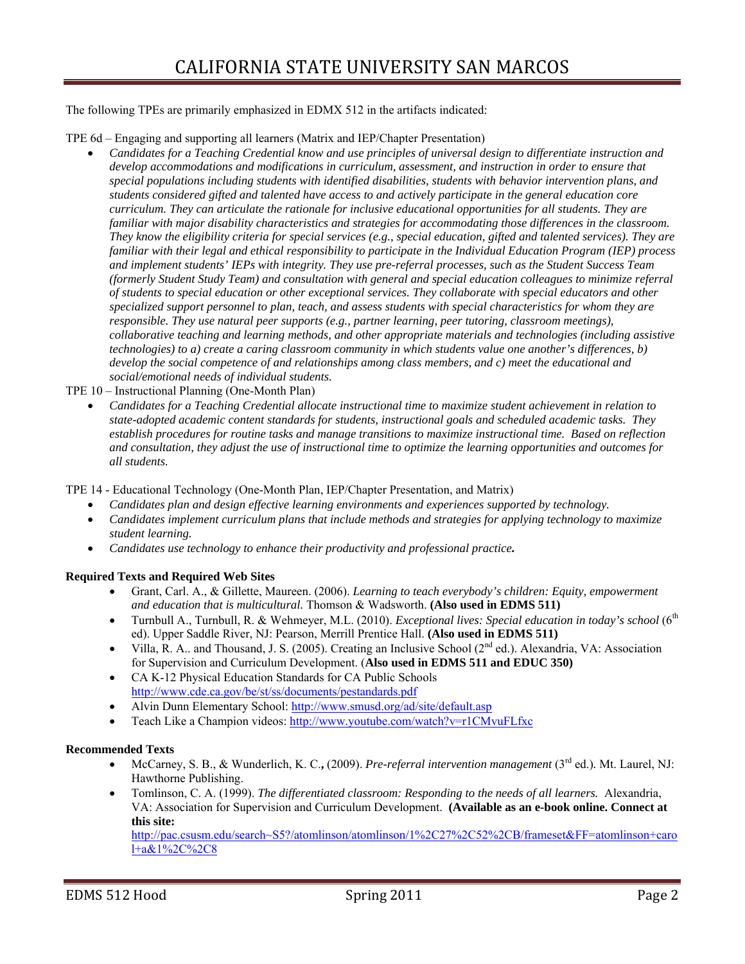The following TPEs are primarily emphasized in EDMX 512 in the artifacts indicated:

TPE 6d – Engaging and supporting all learners (Matrix and IEP/Chapter Presentation)

- *Candidates for a Teaching Credential know and use principles of universal design to differentiate instruction and special populations including students with identified disabilities, students with behavior intervention plans, and students considered gifted and talented have access to and actively participate in the general education core They know the eligibility criteria for special services (e.g., special education, gifted and talented services). They are (formerly Student Study Team) and consultation with general and special education colleagues to minimize referral specialized support personnel to plan, teach, and assess students with special characteristics for whom they are develop accommodations and modifications in curriculum, assessment, and instruction in order to ensure that curriculum. They can articulate the rationale for inclusive educational opportunities for all students. They are familiar with major disability characteristics and strategies for accommodating those differences in the classroom. familiar with their legal and ethical responsibility to participate in the Individual Education Program (IEP) process and implement students' IEPs with integrity. They use pre-referral processes, such as the Student Success Team of students to special education or other exceptional services. They collaborate with special educators and other responsible. They use natural peer supports (e.g., partner learning, peer tutoring, classroom meetings), collaborative teaching and learning methods, and other appropriate materials and technologies (including assistive technologies) to a) create a caring classroom community in which students value one another's differences, b) develop the social competence of and relationships among class members, and c) meet the educational and social/emotional needs of individual students.*
- TPE 10 Instructional Planning (One-Month Plan)
	- establish procedures for routine tasks and manage transitions to maximize instructional time. Based on reflection *Candidates for a Teaching Credential allocate instructional time to maximize student achievement in relation to state-adopted academic content standards for students, instructional goals and scheduled academic tasks. They and consultation, they adjust the use of instructional time to optimize the learning opportunities and outcomes for all students.*

TPE 14 - Educational Technology (One-Month Plan, IEP/Chapter Presentation, and Matrix)

- *Candidates plan and design effective learning environments and experiences supported by technology.*
- *Candidates implement curriculum plans that include methods and strategies for applying technology to maximize student learning.*
- *Candidates use technology to enhance their productivity and professional practice.*

### **Required Texts and Required Web Sites**

- Grant, Carl. A., & Gillette, Maureen. (2006). *Learning to teach everybody's children: Equity, empowerment and education that is multicultural.* Thomson & Wadsworth. **(Also used in EDMS 511)**
- Turnbull A., Turnbull, R. & Wehmeyer, M.L. (2010). *Exceptional lives: Special education in today's school* (6<sup>th</sup> ed). Upper Saddle River, NJ: Pearson, Merrill Prentice Hall. **(Also used in EDMS 511)**
- Villa, R. A.. and Thousand, J. S. (2005). Creating an Inclusive School ( $2<sup>nd</sup>$  ed.). Alexandria, VA: Association for Supervision and Curriculum Development. (**Also used in EDMS 511 and EDUC 350)**
- CA K-12 Physical Education Standards for CA Public Schools http://www.cde.ca.gov/be/st/ss/documents/pestandards.pdf
- Alvin Dunn Elementary School: http://www.smusd.org/ad/site/default.asp
- Teach Like a Champion videos: http://www.youtube.com/watch?v=r1CMvuFLfxc

#### **Recommended Texts**

- McCarney, S. B., & Wunderlich, K. C.**,** (2009). *Pre-referral intervention management* (3rd ed.)*.* Mt. Laurel, NJ: Hawthorne Publishing.
- VA: Association for Supervision and Curriculum Development. **(Available as an e-book online. Connect at**  Tomlinson, C. A. (1999). *The differentiated classroom: Responding to the needs of all learners.* Alexandria, **this site:**

http://pac.csusm.edu/search~S5?/atomlinson/atomlinson/1%2C27%2C52%2CB/frameset&FF=atomlinson+caro l+a&1%2C%2C8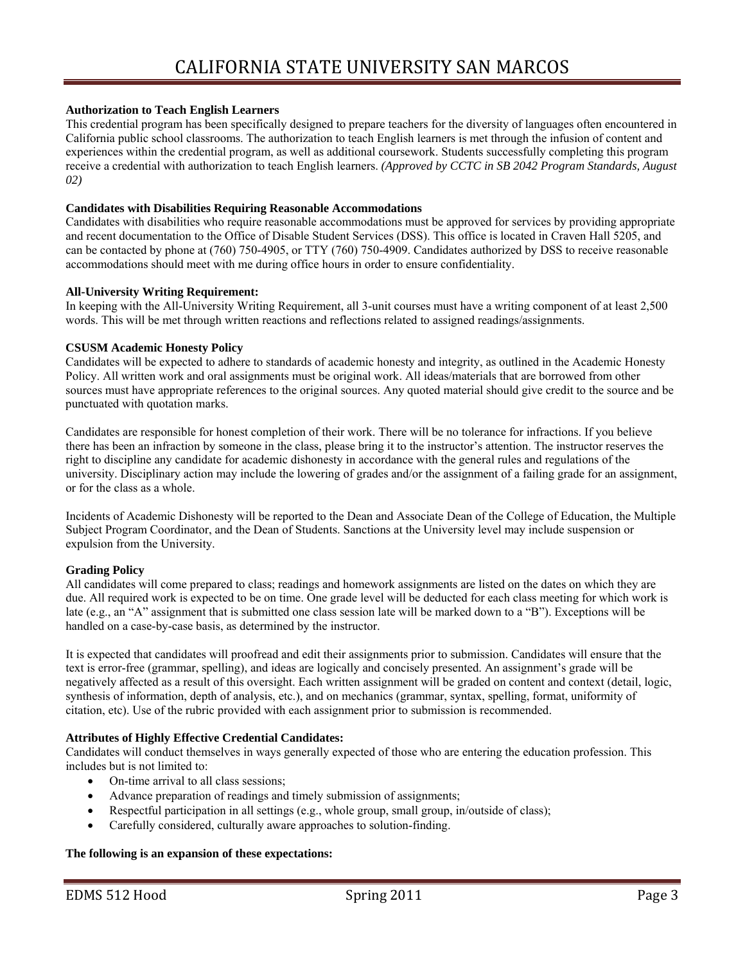#### **Authorization to Teach English Learners**

This credential program has been specifically designed to prepare teachers for the diversity of languages often encountered in California public school classrooms. The authorization to teach English learners is met through the infusion of content and experiences within the credential program, as well as additional coursework. Students successfully completing this program receive a credential with authorization to teach English learners. *(Approved by CCTC in SB 2042 Program Standards, August 02)* 

#### **Candidates with Disabilities Requiring Reasonable Accommodations**

Candidates with disabilities who require reasonable accommodations must be approved for services by providing appropriate and recent documentation to the Office of Disable Student Services (DSS). This office is located in Craven Hall 5205, and can be contacted by phone at (760) 750-4905, or TTY (760) 750-4909. Candidates authorized by DSS to receive reasonable accommodations should meet with me during office hours in order to ensure confidentiality.

#### **All-University Writing Requirement:**

In keeping with the All-University Writing Requirement, all 3-unit courses must have a writing component of at least 2,500 words. This will be met through written reactions and reflections related to assigned readings/assignments.

#### **CSUSM Academic Honesty Policy**

 sources must have appropriate references to the original sources. Any quoted material should give credit to the source and be punctuated with quotation marks. Candidates will be expected to adhere to standards of academic honesty and integrity, as outlined in the Academic Honesty Policy. All written work and oral assignments must be original work. All ideas/materials that are borrowed from other

Candidates are responsible for honest completion of their work. There will be no tolerance for infractions. If you believe there has been an infraction by someone in the class, please bring it to the instructor's attention. The instructor reserves the right to discipline any candidate for academic dishonesty in accordance with the general rules and regulations of the university. Disciplinary action may include the lowering of grades and/or the assignment of a failing grade for an assignment, or for the class as a whole.

Incidents of Academic Dishonesty will be reported to the Dean and Associate Dean of the College of Education, the Multiple Subject Program Coordinator, and the Dean of Students. Sanctions at the University level may include suspension or expulsion from the University.

#### **Grading Policy**

All candidates will come prepared to class; readings and homework assignments are listed on the dates on which they are due. All required work is expected to be on time. One grade level will be deducted for each class meeting for which work is late (e.g., an "A" assignment that is submitted one class session late will be marked down to a "B"). Exceptions will be handled on a case-by-case basis, as determined by the instructor.

 citation, etc). Use of the rubric provided with each assignment prior to submission is recommended. It is expected that candidates will proofread and edit their assignments prior to submission. Candidates will ensure that the text is error-free (grammar, spelling), and ideas are logically and concisely presented. An assignment's grade will be negatively affected as a result of this oversight. Each written assignment will be graded on content and context (detail, logic, synthesis of information, depth of analysis, etc.), and on mechanics (grammar, syntax, spelling, format, uniformity of

#### **Attributes of Highly Effective Credential Candidates:**

Candidates will conduct themselves in ways generally expected of those who are entering the education profession. This includes but is not limited to:

- On-time arrival to all class sessions;
- Advance preparation of readings and timely submission of assignments;
- Respectful participation in all settings (e.g., whole group, small group, in/outside of class);
- Carefully considered, culturally aware approaches to solution-finding.

#### **The following is an expansion of these expectations:**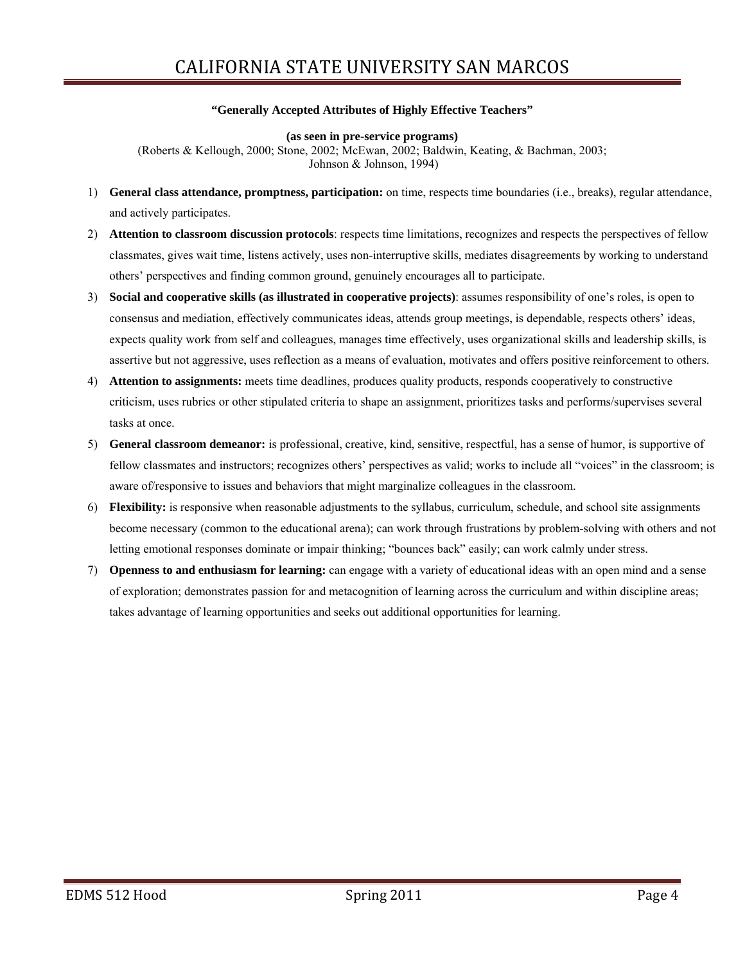#### **"Generally Accepted Attributes of Highly Effective Teachers"**

#### **(as seen in pre-service programs)**

 (Roberts & Kellough, 2000; Stone, 2002; McEwan, 2002; Baldwin, Keating, & Bachman, 2003; Johnson & Johnson, 1994)

- 1) **General class attendance, promptness, participation:** on time, respects time boundaries (i.e., breaks), regular attendance, and actively participates.
- 2) **Attention to classroom discussion protocols**: respects time limitations, recognizes and respects the perspectives of fellow classmates, gives wait time, listens actively, uses non-interruptive skills, mediates disagreements by working to understand others' perspectives and finding common ground, genuinely encourages all to participate.
- 3) **Social and cooperative skills (as illustrated in cooperative projects)**: assumes responsibility of one's roles, is open to consensus and mediation, effectively communicates ideas, attends group meetings, is dependable, respects others' ideas, expects quality work from self and colleagues, manages time effectively, uses organizational skills and leadership skills, is assertive but not aggressive, uses reflection as a means of evaluation, motivates and offers positive reinforcement to others.
- 4) **Attention to assignments:** meets time deadlines, produces quality products, responds cooperatively to constructive criticism, uses rubrics or other stipulated criteria to shape an assignment, prioritizes tasks and performs/supervises several tasks at once.
- 5) **General classroom demeanor:** is professional, creative, kind, sensitive, respectful, has a sense of humor, is supportive of fellow classmates and instructors; recognizes others' perspectives as valid; works to include all "voices" in the classroom; is aware of/responsive to issues and behaviors that might marginalize colleagues in the classroom.
- 6) **Flexibility:** is responsive when reasonable adjustments to the syllabus, curriculum, schedule, and school site assignments become necessary (common to the educational arena); can work through frustrations by problem-solving with others and not letting emotional responses dominate or impair thinking; "bounces back" easily; can work calmly under stress.
- 7) **Openness to and enthusiasm for learning:** can engage with a variety of educational ideas with an open mind and a sense of exploration; demonstrates passion for and metacognition of learning across the curriculum and within discipline areas; takes advantage of learning opportunities and seeks out additional opportunities for learning.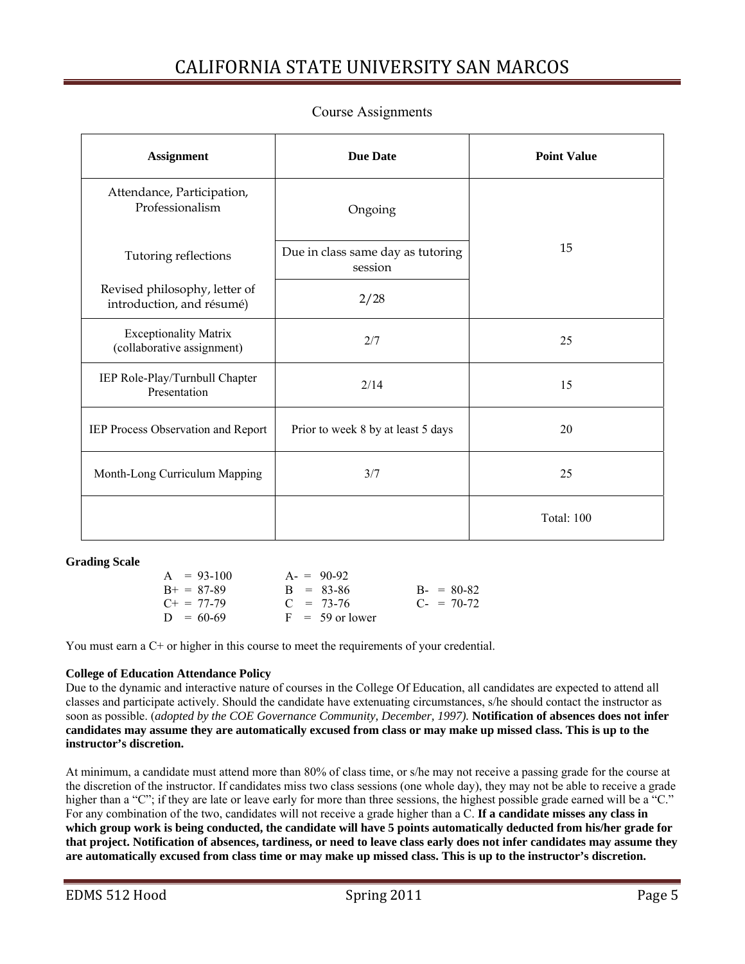| <b>Assignment</b>                                          | <b>Due Date</b>                              | <b>Point Value</b> |
|------------------------------------------------------------|----------------------------------------------|--------------------|
| Attendance, Participation,<br>Professionalism              | Ongoing                                      |                    |
| Tutoring reflections                                       | Due in class same day as tutoring<br>session | 15                 |
| Revised philosophy, letter of<br>introduction, and résumé) | 2/28                                         |                    |
| <b>Exceptionality Matrix</b><br>(collaborative assignment) | 2/7                                          | 25                 |
| IEP Role-Play/Turnbull Chapter<br>Presentation             | 2/14                                         | 15                 |
| IEP Process Observation and Report                         | Prior to week 8 by at least 5 days           | 20                 |
| Month-Long Curriculum Mapping                              | 3/7                                          | 25                 |
|                                                            |                                              | <b>Total: 100</b>  |

### Course Assignments

 **Grading Scale** 

| $A = 93-100$      | $A = 90-92$       |                 |
|-------------------|-------------------|-----------------|
| $B_{+} = 87 - 89$ | $B = 83-86$       | $B - = 80-82$   |
| $C_{+} = 77-79$   | $C = 73-76$       | $C_{-}$ = 70-72 |
| $D = 60-69$       | $F = 59$ or lower |                 |

You must earn a C+ or higher in this course to meet the requirements of your credential.

#### **College of Education Attendance Policy**

Due to the dynamic and interactive nature of courses in the College Of Education, all candidates are expected to attend all classes and participate actively. Should the candidate have extenuating circumstances, s/he should contact the instructor as soon as possible. (*adopted by the COE Governance Community, December, 1997).* **Notification of absences does not infer candidates may assume they are automatically excused from class or may make up missed class. This is up to the instructor's discretion.** 

At minimum, a candidate must attend more than 80% of class time, or s/he may not receive a passing grade for the course at the discretion of the instructor. If candidates miss two class sessions (one whole day), they may not be able to receive a grade higher than a "C"; if they are late or leave early for more than three sessions, the highest possible grade earned will be a "C." For any combination of the two, candidates will not receive a grade higher than a C. **If a candidate misses any class in which group work is being conducted, the candidate will have 5 points automatically deducted from his/her grade for that project. Notification of absences, tardiness, or need to leave class early does not infer candidates may assume they are automatically excused from class time or may make up missed class. This is up to the instructor's discretion.**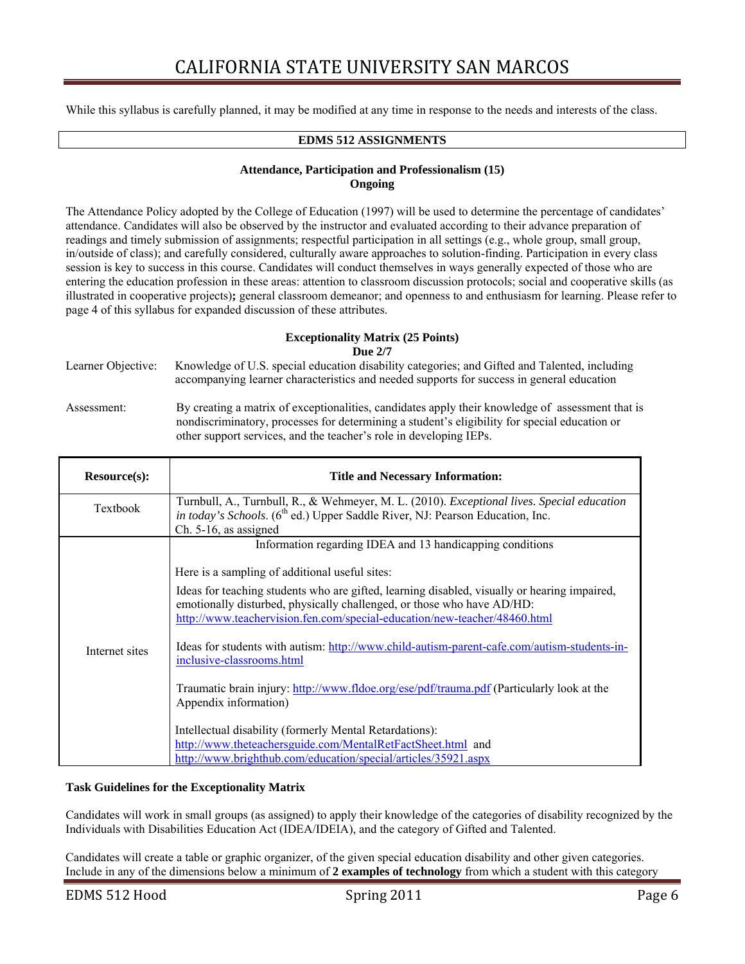While this syllabus is carefully planned, it may be modified at any time in response to the needs and interests of the class.

### **EDMS 512 ASSIGNMENTS**

### **Attendance, Participation and Professionalism (15) Ongoing**

 attendance. Candidates will also be observed by the instructor and evaluated according to their advance preparation of in/outside of class); and carefully considered, culturally aware approaches to solution-finding. Participation in every class The Attendance Policy adopted by the College of Education (1997) will be used to determine the percentage of candidates' readings and timely submission of assignments; respectful participation in all settings (e.g., whole group, small group, session is key to success in this course. Candidates will conduct themselves in ways generally expected of those who are entering the education profession in these areas: attention to classroom discussion protocols; social and cooperative skills (as illustrated in cooperative projects)**;** general classroom demeanor; and openness to and enthusiasm for learning. Please refer to page 4 of this syllabus for expanded discussion of these attributes.

#### **Exceptionality Matrix (25 Points) Due 2/7**

| Learner Objective: | Knowledge of U.S. special education disability categories; and Gifted and Talented, including<br>accompanying learner characteristics and needed supports for success in general education                                                                              |
|--------------------|-------------------------------------------------------------------------------------------------------------------------------------------------------------------------------------------------------------------------------------------------------------------------|
| Assessment:        | By creating a matrix of exceptionalities, candidates apply their knowledge of assessment that is<br>nondiscriminatory, processes for determining a student's eligibility for special education or<br>other support services, and the teacher's role in developing IEPs. |

| Resource(s):   | <b>Title and Necessary Information:</b>                                                                                                                                                                                                                                                                                                                                                                                                                                                                                                                                                                                                                                                                     |
|----------------|-------------------------------------------------------------------------------------------------------------------------------------------------------------------------------------------------------------------------------------------------------------------------------------------------------------------------------------------------------------------------------------------------------------------------------------------------------------------------------------------------------------------------------------------------------------------------------------------------------------------------------------------------------------------------------------------------------------|
| Textbook       | Turnbull, A., Turnbull, R., & Wehmeyer, M. L. (2010). Exceptional lives. Special education<br><i>in today's Schools.</i> (6 <sup>th</sup> ed.) Upper Saddle River, NJ: Pearson Education, Inc.                                                                                                                                                                                                                                                                                                                                                                                                                                                                                                              |
| Internet sites | $Ch. 5-16$ , as assigned<br>Information regarding IDEA and 13 handicapping conditions<br>Here is a sampling of additional useful sites:<br>Ideas for teaching students who are gifted, learning disabled, visually or hearing impaired,<br>emotionally disturbed, physically challenged, or those who have AD/HD:<br>http://www.teachervision.fen.com/special-education/new-teacher/48460.html<br>Ideas for students with autism: http://www.child-autism-parent-cafe.com/autism-students-in-<br>inclusive-classrooms.html<br>Traumatic brain injury: http://www.fldoe.org/ese/pdf/trauma.pdf (Particularly look at the<br>Appendix information)<br>Intellectual disability (formerly Mental Retardations): |
|                | http://www.theteachersguide.com/MentalRetFactSheet.html and<br>http://www.brighthub.com/education/special/articles/35921.aspx                                                                                                                                                                                                                                                                                                                                                                                                                                                                                                                                                                               |

#### **Task Guidelines for the Exceptionality Matrix**

Candidates will work in small groups (as assigned) to apply their knowledge of the categories of disability recognized by the Individuals with Disabilities Education Act (IDEA/IDEIA), and the category of Gifted and Talented.

Candidates will create a table or graphic organizer, of the given special education disability and other given categories. Include in any of the dimensions below a minimum of **2 examples of technology** from which a student with this category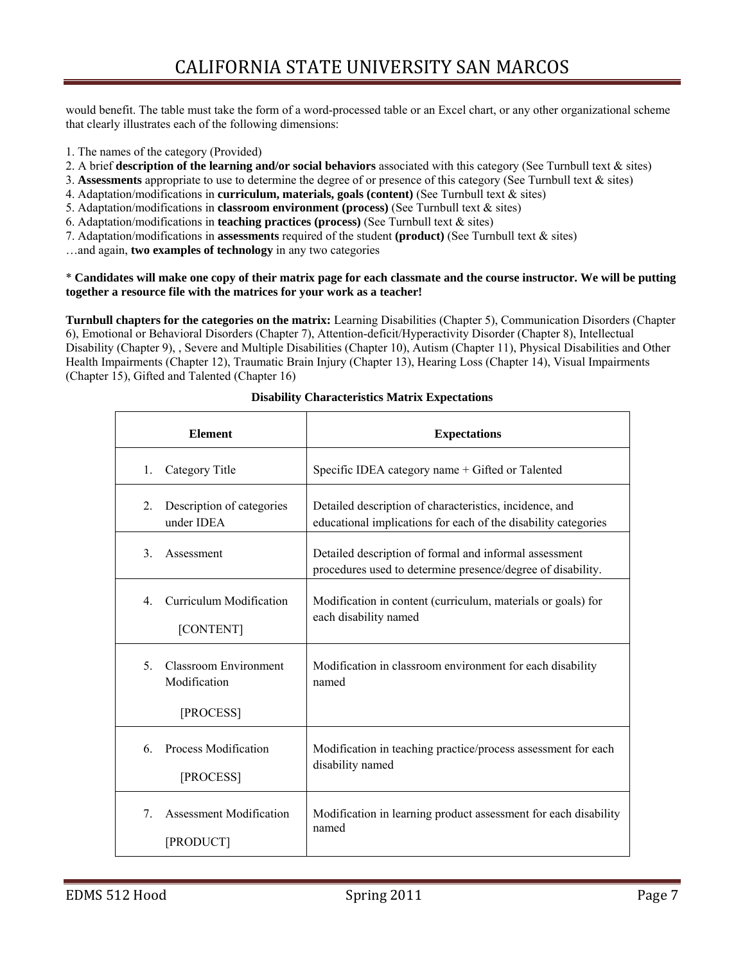would benefit. The table must take the form of a word-processed table or an Excel chart, or any other organizational scheme that clearly illustrates each of the following dimensions:

- 1. The names of the category (Provided)
- 2. A brief **description of the learning and/or social behaviors** associated with this category (See Turnbull text & sites)
- 3. **Assessments** appropriate to use to determine the degree of or presence of this category (See Turnbull text & sites)
- 4. Adaptation/modifications in **curriculum, materials, goals (content)** (See Turnbull text & sites)
- 5. Adaptation/modifications in **classroom environment (process)** (See Turnbull text & sites)
- 6. Adaptation/modifications in **teaching practices (process)** (See Turnbull text & sites)
- 7. Adaptation/modifications in **assessments** required of the student **(product)** (See Turnbull text & sites)

…and again, **two examples of technology** in any two categories

#### \* **Candidates will make one copy of their matrix page for each classmate and the course instructor. We will be putting together a resource file with the matrices for your work as a teacher!**

 Health Impairments (Chapter 12), Traumatic Brain Injury (Chapter 13), Hearing Loss (Chapter 14), Visual Impairments (Chapter 15), Gifted and Talented (Chapter 16) **Turnbull chapters for the categories on the matrix:** Learning Disabilities (Chapter 5), Communication Disorders (Chapter 6), Emotional or Behavioral Disorders (Chapter 7), Attention-deficit/Hyperactivity Disorder (Chapter 8), Intellectual Disability (Chapter 9), , Severe and Multiple Disabilities (Chapter 10), Autism (Chapter 11), Physical Disabilities and Other

| <b>Element</b>                                                  | <b>Expectations</b>                                                                                                       |
|-----------------------------------------------------------------|---------------------------------------------------------------------------------------------------------------------------|
| Category Title<br>$1_{-}$                                       | Specific IDEA category name + Gifted or Talented                                                                          |
| Description of categories<br>2.<br>under IDEA                   | Detailed description of characteristics, incidence, and<br>educational implications for each of the disability categories |
| $\mathcal{E}$<br>Assessment                                     | Detailed description of formal and informal assessment<br>procedures used to determine presence/degree of disability.     |
| Curriculum Modification<br>$\overline{4}$<br>[CONTENT]          | Modification in content (curriculum, materials or goals) for<br>each disability named                                     |
| <b>Classroom Environment</b><br>5.<br>Modification<br>[PROCESS] | Modification in classroom environment for each disability<br>named                                                        |
| Process Modification<br>6<br>[PROCESS]                          | Modification in teaching practice/process assessment for each<br>disability named                                         |
| Assessment Modification<br>7<br>[PRODUCT]                       | Modification in learning product assessment for each disability<br>named                                                  |

**Disability Characteristics Matrix Expectations**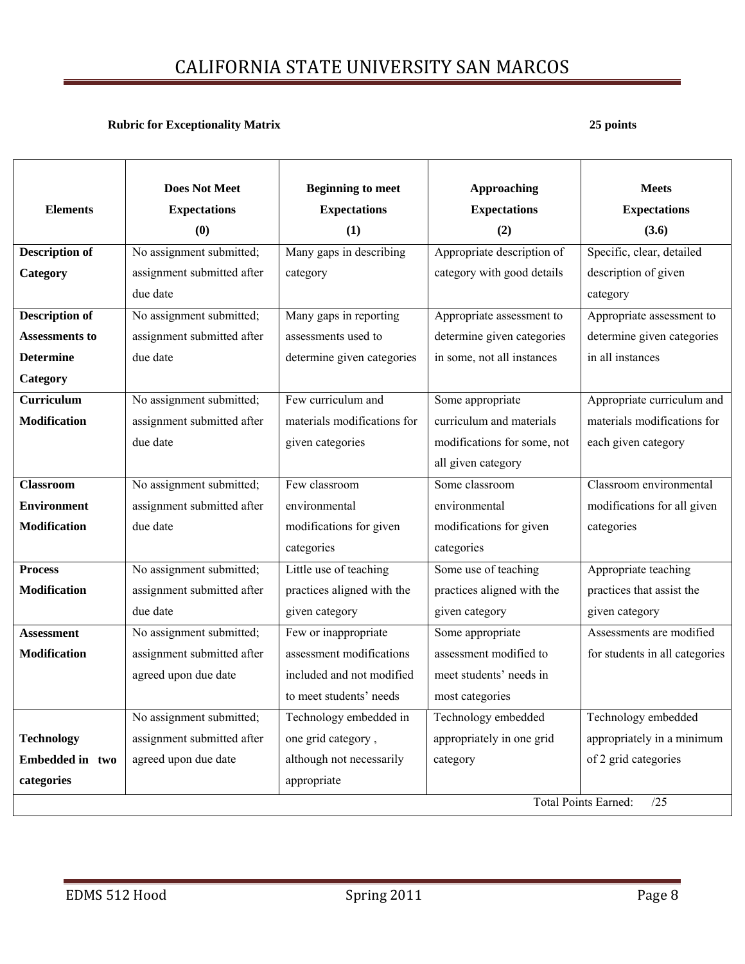### **Rubric for Exceptionality Matrix**  25 points **25 points**

|                       | <b>Does Not Meet</b>       | <b>Beginning to meet</b>    | <b>Approaching</b>          | <b>Meets</b>                   |
|-----------------------|----------------------------|-----------------------------|-----------------------------|--------------------------------|
| <b>Elements</b>       | <b>Expectations</b>        | <b>Expectations</b>         | <b>Expectations</b>         | <b>Expectations</b>            |
|                       | (0)                        | (1)                         | (2)                         | (3.6)                          |
| <b>Description of</b> | No assignment submitted;   | Many gaps in describing     | Appropriate description of  | Specific, clear, detailed      |
| Category              | assignment submitted after | category                    | category with good details  | description of given           |
|                       | due date                   |                             |                             | category                       |
| <b>Description of</b> | No assignment submitted;   | Many gaps in reporting      | Appropriate assessment to   | Appropriate assessment to      |
| <b>Assessments to</b> | assignment submitted after | assessments used to         | determine given categories  | determine given categories     |
| <b>Determine</b>      | due date                   | determine given categories  | in some, not all instances  | in all instances               |
| Category              |                            |                             |                             |                                |
| <b>Curriculum</b>     | No assignment submitted;   | Few curriculum and          | Some appropriate            | Appropriate curriculum and     |
| <b>Modification</b>   | assignment submitted after | materials modifications for | curriculum and materials    | materials modifications for    |
|                       | due date                   | given categories            | modifications for some, not | each given category            |
|                       |                            |                             | all given category          |                                |
| <b>Classroom</b>      | No assignment submitted;   | Few classroom               | Some classroom              | Classroom environmental        |
| <b>Environment</b>    | assignment submitted after | environmental               | environmental               | modifications for all given    |
| <b>Modification</b>   | due date                   | modifications for given     | modifications for given     | categories                     |
|                       |                            | categories                  | categories                  |                                |
| <b>Process</b>        | No assignment submitted;   | Little use of teaching      | Some use of teaching        | Appropriate teaching           |
| <b>Modification</b>   | assignment submitted after | practices aligned with the  | practices aligned with the  | practices that assist the      |
|                       | due date                   | given category              | given category              | given category                 |
| <b>Assessment</b>     | No assignment submitted;   | Few or inappropriate        | Some appropriate            | Assessments are modified       |
| <b>Modification</b>   | assignment submitted after | assessment modifications    | assessment modified to      | for students in all categories |
|                       | agreed upon due date       | included and not modified   | meet students' needs in     |                                |
|                       |                            | to meet students' needs     | most categories             |                                |
|                       | No assignment submitted;   | Technology embedded in      | Technology embedded         | Technology embedded            |
| <b>Technology</b>     | assignment submitted after | one grid category,          | appropriately in one grid   | appropriately in a minimum     |
| Embedded in two       | agreed upon due date       | although not necessarily    | category                    | of 2 grid categories           |
| categories            |                            | appropriate                 |                             |                                |
|                       |                            |                             |                             | Total Points Earned:<br>/25    |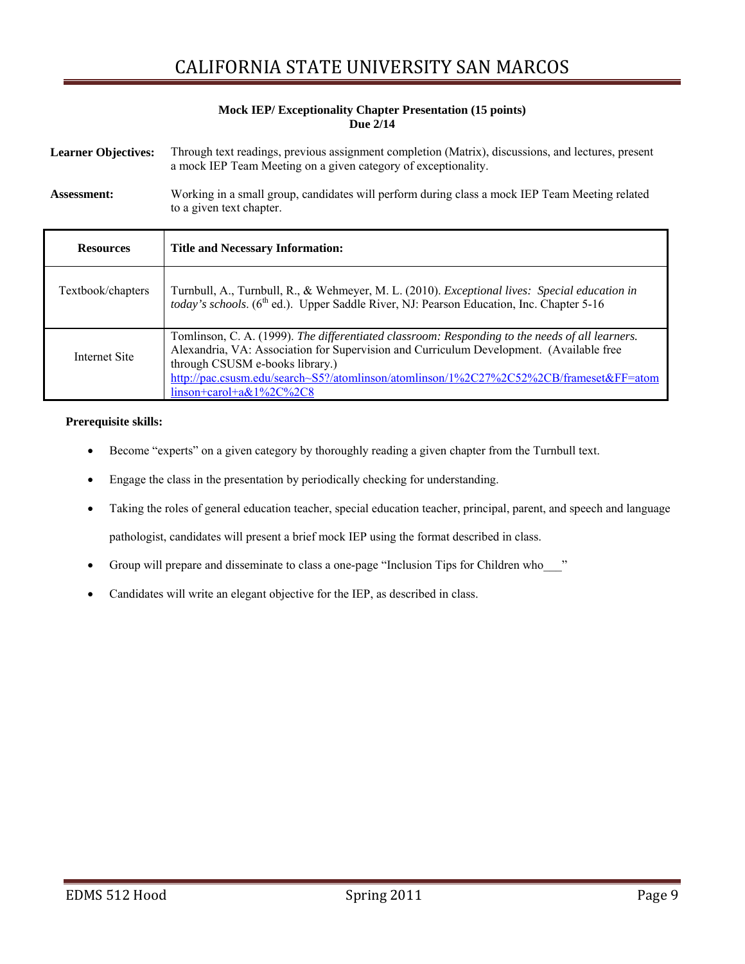#### **Mock IEP/ Exceptionality Chapter Presentation (15 points) Due 2/14**

| <b>Learner Objectives:</b> | Through text readings, previous assignment completion (Matrix), discussions, and lectures, present<br>a mock IEP Team Meeting on a given category of exceptionality.                                         |
|----------------------------|--------------------------------------------------------------------------------------------------------------------------------------------------------------------------------------------------------------|
| <b>Assessment:</b>         | Working in a small group, candidates will perform during class a mock IEP Team Meeting related<br>to a given text chapter.                                                                                   |
| <b>Resources</b>           | <b>Title and Necessary Information:</b>                                                                                                                                                                      |
| Textbook/chapters          | Turnbull, A., Turnbull, R., & Wehmeyer, M. L. (2010). <i>Exceptional lives: Special education in</i><br>today's schools. (6 <sup>th</sup> ed.). Upper Saddle River, NJ: Pearson Education, Inc. Chapter 5-16 |
| Internet Site              | Tomlinson, C. A. (1999). The differentiated classroom: Responding to the needs of all learners.<br>Alexandria, VA: Association for Supervision and Curriculum Development. (Available free                   |

### through CSUSM e-books library.) http://pac.csusm.edu/search~S5?/atomlinson/atomlinson/1%2C27%2C52%2CB/frameset&FF=atom linson+carol+a&1%2C%2C8

#### **Prerequisite skills:**

- Become "experts" on a given category by thoroughly reading a given chapter from the Turnbull text.
- Engage the class in the presentation by periodically checking for understanding.
- Taking the roles of general education teacher, special education teacher, principal, parent, and speech and language pathologist, candidates will present a brief mock IEP using the format described in class.
- Group will prepare and disseminate to class a one-page "Inclusion Tips for Children who
- Candidates will write an elegant objective for the IEP, as described in class.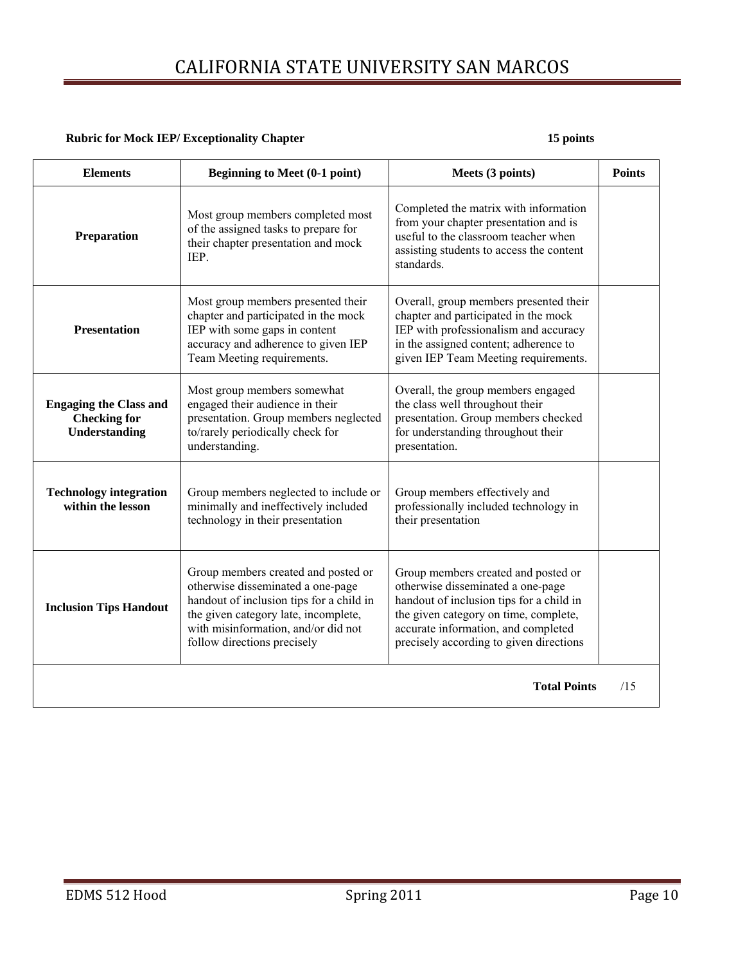#### **Rubric for Mock IEP/ Exceptionality Chapter 15 points 15 points 15 points in the late of the late of the late of the late of the late of the late of the late of the late of the late of the late of the late of the late of**

| <b>Elements</b>                                                       | <b>Beginning to Meet (0-1 point)</b>                                                                                                                                                                                               | Meets (3 points)                                                                                                                                                                                                                                | <b>Points</b> |
|-----------------------------------------------------------------------|------------------------------------------------------------------------------------------------------------------------------------------------------------------------------------------------------------------------------------|-------------------------------------------------------------------------------------------------------------------------------------------------------------------------------------------------------------------------------------------------|---------------|
| Preparation                                                           | Most group members completed most<br>of the assigned tasks to prepare for<br>their chapter presentation and mock<br><b>IEP</b>                                                                                                     | Completed the matrix with information<br>from your chapter presentation and is<br>useful to the classroom teacher when<br>assisting students to access the content<br>standards.                                                                |               |
| <b>Presentation</b>                                                   | Most group members presented their<br>chapter and participated in the mock<br>IEP with some gaps in content<br>accuracy and adherence to given IEP<br>Team Meeting requirements.                                                   | Overall, group members presented their<br>chapter and participated in the mock<br>IEP with professionalism and accuracy<br>in the assigned content; adherence to<br>given IEP Team Meeting requirements.                                        |               |
| <b>Engaging the Class and</b><br><b>Checking for</b><br>Understanding | Most group members somewhat<br>engaged their audience in their<br>presentation. Group members neglected<br>to/rarely periodically check for<br>understanding.                                                                      | Overall, the group members engaged<br>the class well throughout their<br>presentation. Group members checked<br>for understanding throughout their<br>presentation.                                                                             |               |
| <b>Technology integration</b><br>within the lesson                    | Group members neglected to include or<br>minimally and ineffectively included<br>technology in their presentation                                                                                                                  | Group members effectively and<br>professionally included technology in<br>their presentation                                                                                                                                                    |               |
| <b>Inclusion Tips Handout</b>                                         | Group members created and posted or<br>otherwise disseminated a one-page<br>handout of inclusion tips for a child in<br>the given category late, incomplete,<br>with misinformation, and/or did not<br>follow directions precisely | Group members created and posted or<br>otherwise disseminated a one-page<br>handout of inclusion tips for a child in<br>the given category on time, complete,<br>accurate information, and completed<br>precisely according to given directions |               |
|                                                                       |                                                                                                                                                                                                                                    | <b>Total Points</b>                                                                                                                                                                                                                             | /15           |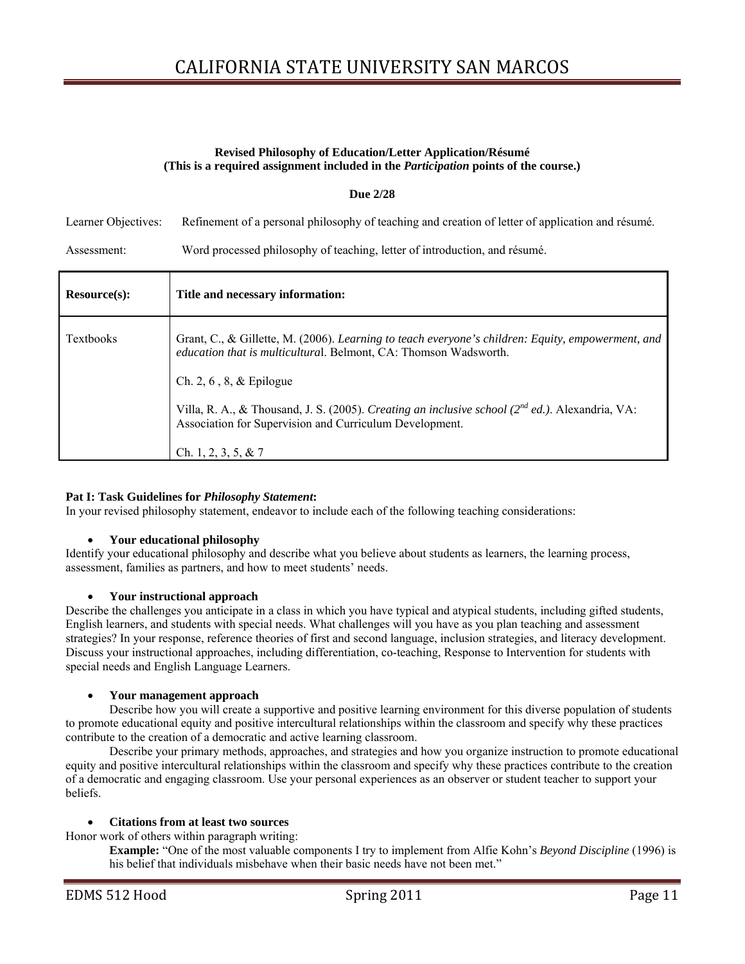#### **Revised Philosophy of Education/Letter Application/Résumé (This is a required assignment included in the** *Participation* **points of the course.)**

#### **Due 2/28**

Learner Objectives: Refinement of a personal philosophy of teaching and creation of letter of application and résumé.

Assessment: Word processed philosophy of teaching, letter of introduction, and résumé.

| Resource(s):     | Title and necessary information:                                                                                                                                      |
|------------------|-----------------------------------------------------------------------------------------------------------------------------------------------------------------------|
| <b>Textbooks</b> | Grant, C., & Gillette, M. (2006). Learning to teach everyone's children: Equity, empowerment, and<br>education that is multicultural. Belmont, CA: Thomson Wadsworth. |
|                  | Ch. 2, 6, 8, $\&$ Epilogue                                                                                                                                            |
|                  | Villa, R. A., & Thousand, J. S. (2005). Creating an inclusive school ( $2^{nd}$ ed.). Alexandria, VA:<br>Association for Supervision and Curriculum Development.      |
|                  | Ch. 1, 2, 3, 5, & 7                                                                                                                                                   |

### **Pat I: Task Guidelines for** *Philosophy Statement***:**

In your revised philosophy statement, endeavor to include each of the following teaching considerations:

#### **Your educational philosophy**

 Identify your educational philosophy and describe what you believe about students as learners, the learning process, assessment, families as partners, and how to meet students' needs.

#### **Your instructional approach**

 Describe the challenges you anticipate in a class in which you have typical and atypical students, including gifted students, English learners, and students with special needs. What challenges will you have as you plan teaching and assessment strategies? In your response, reference theories of first and second language, inclusion strategies, and literacy development. Discuss your instructional approaches, including differentiation, co-teaching, Response to Intervention for students with special needs and English Language Learners.

#### **Your management approach**

contribute to the creation of a democratic and active learning classroom. Describe how you will create a supportive and positive learning environment for this diverse population of students to promote educational equity and positive intercultural relationships within the classroom and specify why these practices

Describe your primary methods, approaches, and strategies and how you organize instruction to promote educational equity and positive intercultural relationships within the classroom and specify why these practices contribute to the creation of a democratic and engaging classroom. Use your personal experiences as an observer or student teacher to support your beliefs.

#### **Citations from at least two sources**

Honor work of others within paragraph writing:

**Example:** "One of the most valuable components I try to implement from Alfie Kohn's *Beyond Discipline* (1996) is his belief that individuals misbehave when their basic needs have not been met."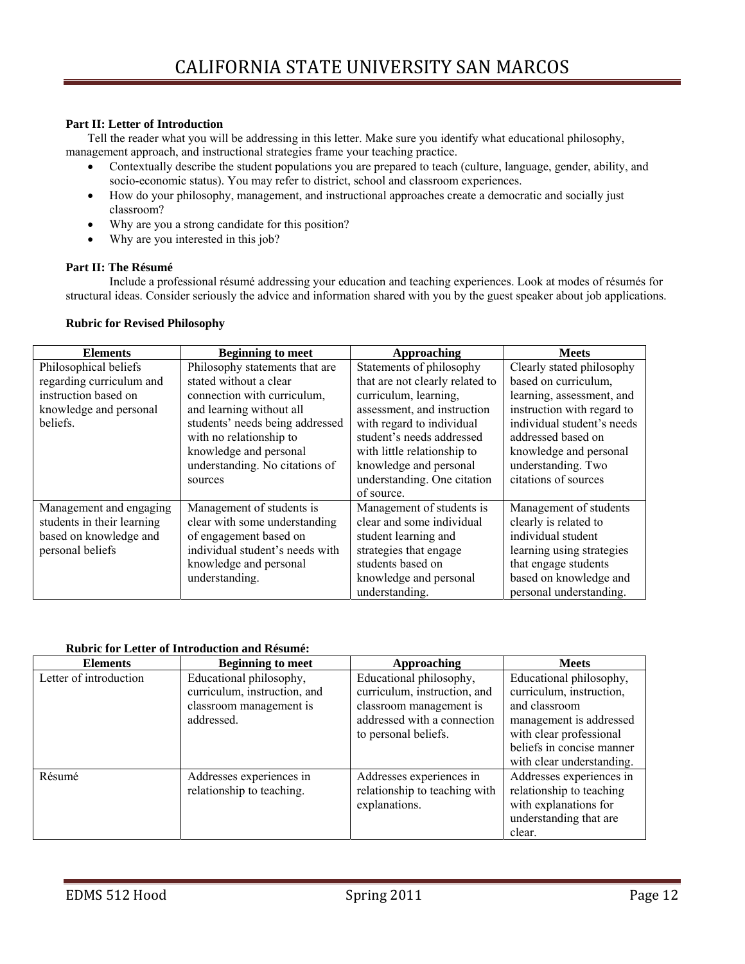#### **Part II: Letter of Introduction**

Tell the reader what you will be addressing in this letter. Make sure you identify what educational philosophy, management approach, and instructional strategies frame your teaching practice.

- Contextually describe the student populations you are prepared to teach (culture, language, gender, ability, and socio-economic status). You may refer to district, school and classroom experiences.
- How do your philosophy, management, and instructional approaches create a democratic and socially just classroom?
- Why are you a strong candidate for this position?
- Why are you interested in this job?

### **Part II: The Résumé**

 structural ideas. Consider seriously the advice and information shared with you by the guest speaker about job applications. Include a professional résumé addressing your education and teaching experiences. Look at modes of résumés for

#### **Rubric for Revised Philosophy**

| <b>Elements</b>            | <b>Beginning to meet</b>        | <b>Approaching</b>              | <b>Meets</b>               |
|----------------------------|---------------------------------|---------------------------------|----------------------------|
| Philosophical beliefs      | Philosophy statements that are  | Statements of philosophy        | Clearly stated philosophy  |
| regarding curriculum and   | stated without a clear          | that are not clearly related to | based on curriculum,       |
| instruction based on       | connection with curriculum,     | curriculum, learning,           | learning, assessment, and  |
| knowledge and personal     | and learning without all        | assessment, and instruction     | instruction with regard to |
| beliefs.                   | students' needs being addressed | with regard to individual       | individual student's needs |
|                            | with no relationship to         | student's needs addressed       | addressed based on         |
|                            | knowledge and personal          | with little relationship to     | knowledge and personal     |
|                            | understanding. No citations of  | knowledge and personal          | understanding. Two         |
|                            | sources                         | understanding. One citation     | citations of sources       |
|                            |                                 | of source.                      |                            |
| Management and engaging    | Management of students is       | Management of students is       | Management of students     |
| students in their learning | clear with some understanding   | clear and some individual       | clearly is related to      |
| based on knowledge and     | of engagement based on          | student learning and            | individual student         |
| personal beliefs           | individual student's needs with | strategies that engage          | learning using strategies  |
|                            | knowledge and personal          | students based on               | that engage students       |
|                            | understanding.                  | knowledge and personal          | based on knowledge and     |
|                            |                                 | understanding.                  | personal understanding.    |

#### **Rubric for Letter of Introduction and Résumé:**

| <b>Elements</b>        | <b>Beginning to meet</b>     | Approaching                   | <b>Meets</b>              |
|------------------------|------------------------------|-------------------------------|---------------------------|
| Letter of introduction | Educational philosophy,      | Educational philosophy,       | Educational philosophy,   |
|                        | curriculum, instruction, and | curriculum, instruction, and  | curriculum, instruction,  |
|                        | classroom management is      | classroom management is       | and classroom             |
|                        | addressed.                   | addressed with a connection   | management is addressed   |
|                        |                              | to personal beliefs.          | with clear professional   |
|                        |                              |                               | beliefs in concise manner |
|                        |                              |                               | with clear understanding. |
| Résumé                 | Addresses experiences in     | Addresses experiences in      | Addresses experiences in  |
|                        | relationship to teaching.    | relationship to teaching with | relationship to teaching  |
|                        |                              | explanations.                 | with explanations for     |
|                        |                              |                               | understanding that are    |
|                        |                              |                               | clear.                    |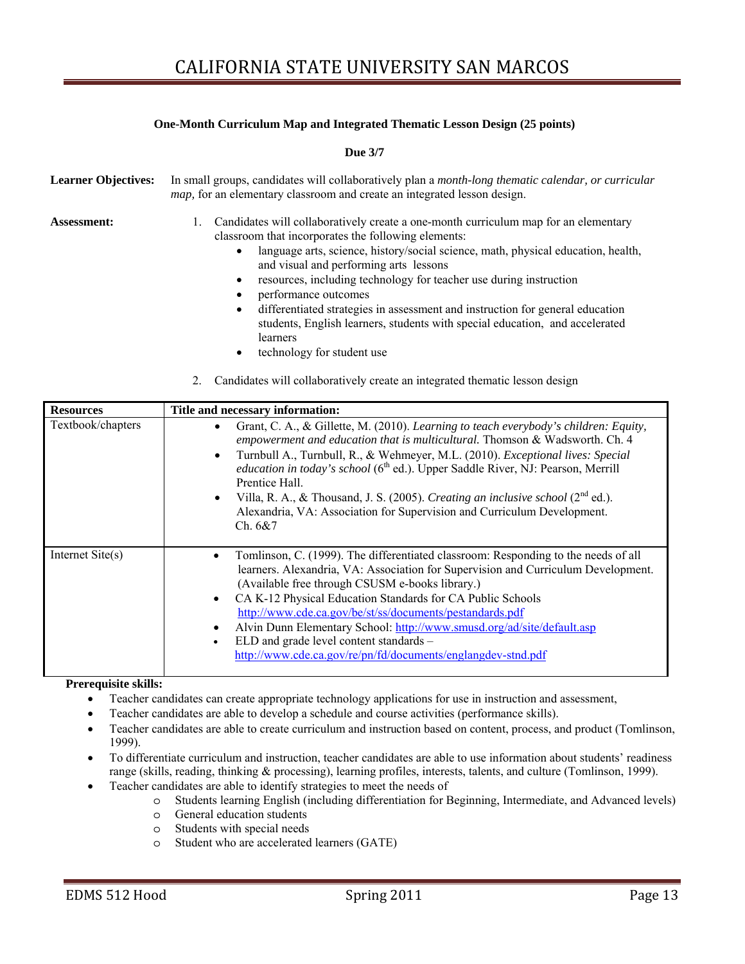#### **One-Month Curriculum Map and Integrated Thematic Lesson Design (25 points)**

**Due 3/7** 

| <b>Learner Objectives:</b> | In small groups, candidates will collaboratively plan a month-long thematic calendar, or curricular<br><i>map</i> , for an elementary classroom and create an integrated lesson design.                                                                                                                                                                                                                                                                                                                                                                                                                                                                                                                                |
|----------------------------|------------------------------------------------------------------------------------------------------------------------------------------------------------------------------------------------------------------------------------------------------------------------------------------------------------------------------------------------------------------------------------------------------------------------------------------------------------------------------------------------------------------------------------------------------------------------------------------------------------------------------------------------------------------------------------------------------------------------|
| <b>Assessment:</b>         | Candidates will collaboratively create a one-month curriculum map for an elementary<br>1.<br>classroom that incorporates the following elements:<br>language arts, science, history/social science, math, physical education, health,<br>$\bullet$<br>and visual and performing arts lessons<br>resources, including technology for teacher use during instruction<br>٠<br>performance outcomes<br>٠<br>differentiated strategies in assessment and instruction for general education<br>$\bullet$<br>students, English learners, students with special education, and accelerated<br>learners<br>technology for student use<br>٠<br>Candidates will collaboratively create an integrated thematic lesson design<br>2. |
| <b>Resources</b>           | Title and necessary information:                                                                                                                                                                                                                                                                                                                                                                                                                                                                                                                                                                                                                                                                                       |
| Textbook/chapters          | Grant, C. A., & Gillette, M. (2010). Learning to teach everybody's children: Equity,<br>$\bullet$<br>empowerment and education that is multicultural. Thomson & Wadsworth. Ch. 4<br>Turnbull A., Turnbull, R., & Wehmeyer, M.L. (2010). Exceptional lives: Special<br>$\bullet$<br>education in today's school (6 <sup>th</sup> ed.). Upper Saddle River, NJ: Pearson, Merrill                                                                                                                                                                                                                                                                                                                                         |

|                  | <i>education in today's school</i> (6 <sup>th</sup> ed.). Upper Saddle River, NJ: Pearson, Merrill<br>Prentice Hall.<br>Villa, R. A., & Thousand, J. S. (2005). Creating an inclusive school (2 <sup>nd</sup> ed.).<br>$\bullet$<br>Alexandria, VA: Association for Supervision and Curriculum Development.<br>Ch. 6&7                                                                                                                                                                                                                                                   |
|------------------|--------------------------------------------------------------------------------------------------------------------------------------------------------------------------------------------------------------------------------------------------------------------------------------------------------------------------------------------------------------------------------------------------------------------------------------------------------------------------------------------------------------------------------------------------------------------------|
| Internet Site(s) | Tomlinson, C. (1999). The differentiated classroom: Responding to the needs of all<br>learners. Alexandria, VA: Association for Supervision and Curriculum Development.<br>(Available free through CSUSM e-books library.)<br>CA K-12 Physical Education Standards for CA Public Schools<br>$\bullet$<br>http://www.cde.ca.gov/be/st/ss/documents/pestandards.pdf<br>Alvin Dunn Elementary School: http://www.smusd.org/ad/site/default.asp<br>٠<br>ELD and grade level content standards -<br>$\bullet$<br>http://www.cde.ca.gov/re/pn/fd/documents/englangdev-stnd.pdf |

#### **Prerequisite skills:**

- Teacher candidates can create appropriate technology applications for use in instruction and assessment,
- Teacher candidates are able to develop a schedule and course activities (performance skills).
- Teacher candidates are able to create curriculum and instruction based on content, process, and product (Tomlinson, 1999).
- To differentiate curriculum and instruction, teacher candidates are able to use information about students' readiness range (skills, reading, thinking & processing), learning profiles, interests, talents, and culture (Tomlinson, 1999).
- Teacher candidates are able to identify strategies to meet the needs of
	- o Students learning English (including differentiation for Beginning, Intermediate, and Advanced levels)
	- o General education students
	- o Students with special needs
	- o Student who are accelerated learners (GATE)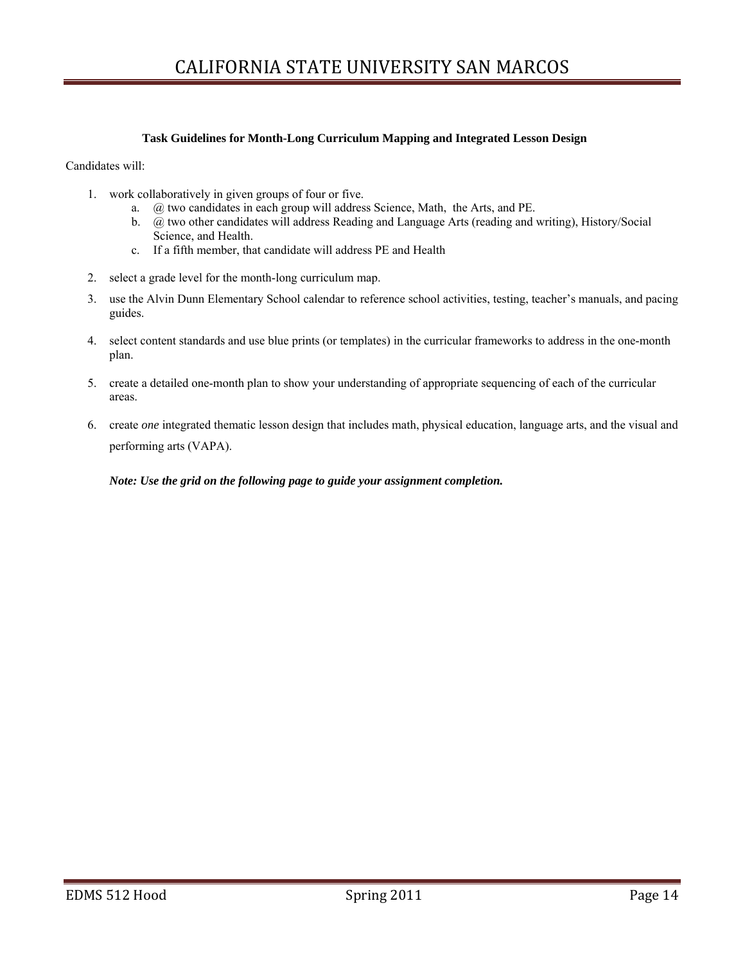#### **Task Guidelines for Month-Long Curriculum Mapping and Integrated Lesson Design**

Candidates will:

- 1. work collaboratively in given groups of four or five.
	- a. @ two candidates in each group will address Science, Math, the Arts, and PE.
	- b. @ two other candidates will address Reading and Language Arts (reading and writing), History/Social Science, and Health.
	- c. If a fifth member, that candidate will address PE and Health
- 2. select a grade level for the month-long curriculum map.
- 3. use the Alvin Dunn Elementary School calendar to reference school activities, testing, teacher's manuals, and pacing guides.
- 4. select content standards and use blue prints (or templates) in the curricular frameworks to address in the one-month plan.
- 5. create a detailed one-month plan to show your understanding of appropriate sequencing of each of the curricular areas.
- 6. create *one* integrated thematic lesson design that includes math, physical education, language arts, and the visual and performing arts (VAPA).

*Note: Use the grid on the following page to guide your assignment completion.*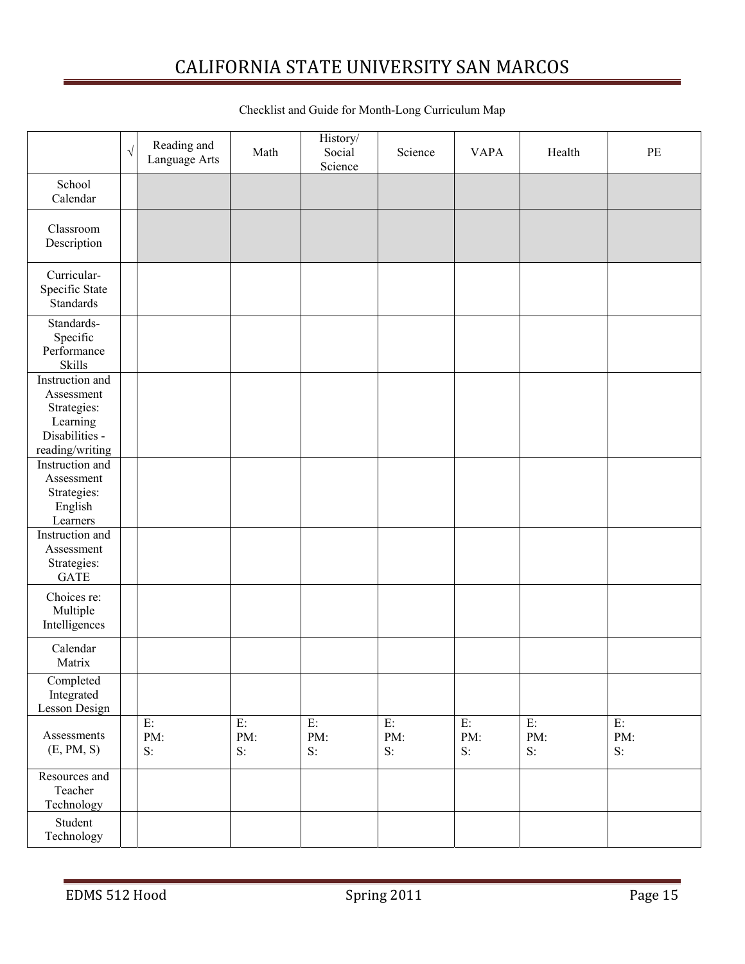|                                                                                               | $\sqrt{ }$ | Reading and<br>Language Arts | Math               | History/<br>Social<br>Science | Science               | <b>VAPA</b>        | Health                | PE                 |
|-----------------------------------------------------------------------------------------------|------------|------------------------------|--------------------|-------------------------------|-----------------------|--------------------|-----------------------|--------------------|
| School<br>Calendar                                                                            |            |                              |                    |                               |                       |                    |                       |                    |
| Classroom<br>Description                                                                      |            |                              |                    |                               |                       |                    |                       |                    |
| Curricular-<br>Specific State<br><b>Standards</b>                                             |            |                              |                    |                               |                       |                    |                       |                    |
| Standards-<br>Specific<br>Performance<br><b>Skills</b>                                        |            |                              |                    |                               |                       |                    |                       |                    |
| Instruction and<br>Assessment<br>Strategies:<br>Learning<br>Disabilities -<br>reading/writing |            |                              |                    |                               |                       |                    |                       |                    |
| Instruction and<br>Assessment<br>Strategies:<br>English<br>Learners                           |            |                              |                    |                               |                       |                    |                       |                    |
| Instruction and<br>Assessment<br>Strategies:<br><b>GATE</b>                                   |            |                              |                    |                               |                       |                    |                       |                    |
| Choices re:<br>Multiple<br>Intelligences                                                      |            |                              |                    |                               |                       |                    |                       |                    |
| Calendar<br>Matrix                                                                            |            |                              |                    |                               |                       |                    |                       |                    |
| Completed<br>Integrated<br><b>Lesson Design</b>                                               |            |                              |                    |                               |                       |                    |                       |                    |
| Assessments<br>(E, PM, S)                                                                     |            | E:<br>PM:<br>$S$ :           | E:<br>PM:<br>$S$ : | $E$ :<br>PM:<br>$S$ :         | $E$ :<br>PM:<br>$S$ : | E:<br>PM:<br>$S$ : | $E$ :<br>PM:<br>$S$ : | E:<br>PM:<br>$S$ : |
| Resources and<br>Teacher<br>Technology                                                        |            |                              |                    |                               |                       |                    |                       |                    |
| Student<br>Technology                                                                         |            |                              |                    |                               |                       |                    |                       |                    |

### Checklist and Guide for Month-Long Curriculum Map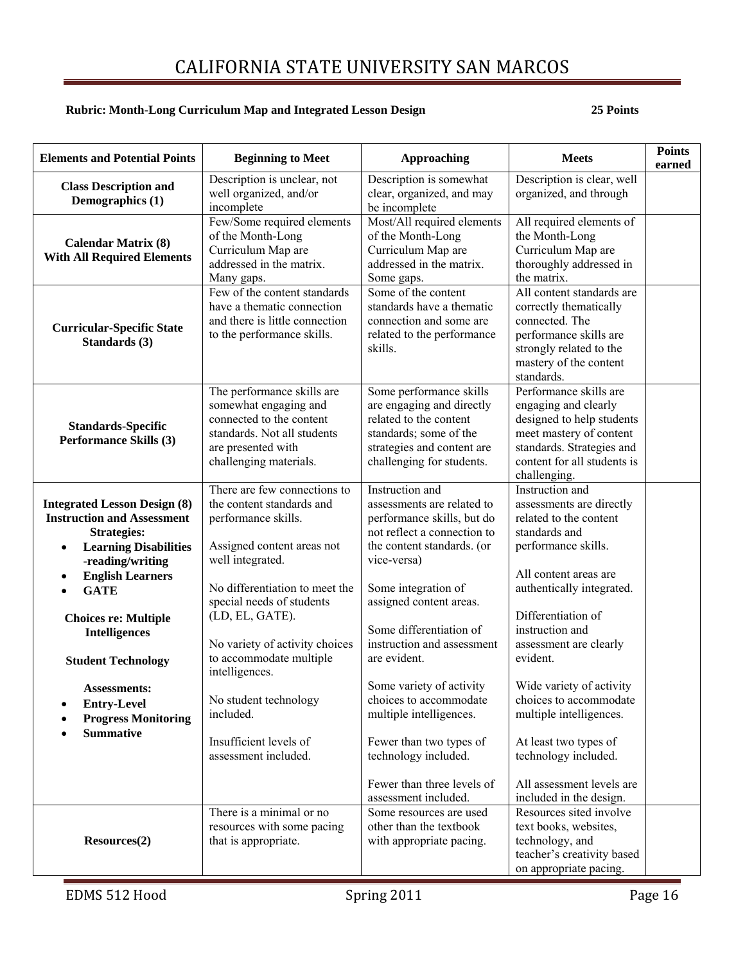#### **Rubric: Month-Long Curriculum Map and Integrated Lesson Design 25 Points**

| <b>Elements and Potential Points</b>                                                                                                                                                                                                                                                                                                                                                                            | <b>Beginning to Meet</b>                                                                                                                                                                                                                                                                                                                                                                    | <b>Approaching</b>                                                                                                                                                                                                                                                                                                                                                                                                                                                           | <b>Meets</b>                                                                                                                                                                                                                                                                                                                                                                                                                                 | <b>Points</b><br>earned |
|-----------------------------------------------------------------------------------------------------------------------------------------------------------------------------------------------------------------------------------------------------------------------------------------------------------------------------------------------------------------------------------------------------------------|---------------------------------------------------------------------------------------------------------------------------------------------------------------------------------------------------------------------------------------------------------------------------------------------------------------------------------------------------------------------------------------------|------------------------------------------------------------------------------------------------------------------------------------------------------------------------------------------------------------------------------------------------------------------------------------------------------------------------------------------------------------------------------------------------------------------------------------------------------------------------------|----------------------------------------------------------------------------------------------------------------------------------------------------------------------------------------------------------------------------------------------------------------------------------------------------------------------------------------------------------------------------------------------------------------------------------------------|-------------------------|
| <b>Class Description and</b><br>Demographics (1)                                                                                                                                                                                                                                                                                                                                                                | Description is unclear, not<br>well organized, and/or<br>incomplete                                                                                                                                                                                                                                                                                                                         | Description is somewhat<br>clear, organized, and may<br>be incomplete                                                                                                                                                                                                                                                                                                                                                                                                        | Description is clear, well<br>organized, and through                                                                                                                                                                                                                                                                                                                                                                                         |                         |
| <b>Calendar Matrix (8)</b><br><b>With All Required Elements</b>                                                                                                                                                                                                                                                                                                                                                 | Few/Some required elements<br>of the Month-Long<br>Curriculum Map are<br>addressed in the matrix.<br>Many gaps.                                                                                                                                                                                                                                                                             | Most/All required elements<br>of the Month-Long<br>Curriculum Map are<br>addressed in the matrix.<br>Some gaps.                                                                                                                                                                                                                                                                                                                                                              | All required elements of<br>the Month-Long<br>Curriculum Map are<br>thoroughly addressed in<br>the matrix.                                                                                                                                                                                                                                                                                                                                   |                         |
| <b>Curricular-Specific State</b><br>Standards (3)                                                                                                                                                                                                                                                                                                                                                               | Few of the content standards<br>have a thematic connection<br>and there is little connection<br>to the performance skills.                                                                                                                                                                                                                                                                  | Some of the content<br>standards have a thematic<br>connection and some are<br>related to the performance<br>skills.                                                                                                                                                                                                                                                                                                                                                         | All content standards are<br>correctly thematically<br>connected. The<br>performance skills are<br>strongly related to the<br>mastery of the content<br>standards.                                                                                                                                                                                                                                                                           |                         |
| <b>Standards-Specific</b><br><b>Performance Skills (3)</b>                                                                                                                                                                                                                                                                                                                                                      | The performance skills are<br>somewhat engaging and<br>connected to the content<br>standards. Not all students<br>are presented with<br>challenging materials.                                                                                                                                                                                                                              | Some performance skills<br>are engaging and directly<br>related to the content<br>standards; some of the<br>strategies and content are<br>challenging for students.                                                                                                                                                                                                                                                                                                          | Performance skills are<br>engaging and clearly<br>designed to help students<br>meet mastery of content<br>standards. Strategies and<br>content for all students is<br>challenging.                                                                                                                                                                                                                                                           |                         |
| <b>Integrated Lesson Design (8)</b><br><b>Instruction and Assessment</b><br><b>Strategies:</b><br><b>Learning Disabilities</b><br>$\bullet$<br>-reading/writing<br><b>English Learners</b><br>$\bullet$<br><b>GATE</b><br>$\bullet$<br><b>Choices re: Multiple</b><br><b>Intelligences</b><br><b>Student Technology</b><br>Assessments:<br><b>Entry-Level</b><br><b>Progress Monitoring</b><br><b>Summative</b> | There are few connections to<br>the content standards and<br>performance skills.<br>Assigned content areas not<br>well integrated.<br>No differentiation to meet the<br>special needs of students<br>(LD, EL, GATE).<br>No variety of activity choices<br>to accommodate multiple<br>intelligences.<br>No student technology<br>included.<br>Insufficient levels of<br>assessment included. | Instruction and<br>assessments are related to<br>performance skills, but do<br>not reflect a connection to<br>the content standards. (or<br>vice-versa)<br>Some integration of<br>assigned content areas.<br>Some differentiation of<br>instruction and assessment<br>are evident.<br>Some variety of activity<br>choices to accommodate<br>multiple intelligences.<br>Fewer than two types of<br>technology included.<br>Fewer than three levels of<br>assessment included. | Instruction and<br>assessments are directly<br>related to the content<br>standards and<br>performance skills.<br>All content areas are<br>authentically integrated.<br>Differentiation of<br>instruction and<br>assessment are clearly<br>evident.<br>Wide variety of activity<br>choices to accommodate<br>multiple intelligences.<br>At least two types of<br>technology included.<br>All assessment levels are<br>included in the design. |                         |
| Resources(2)                                                                                                                                                                                                                                                                                                                                                                                                    | There is a minimal or no<br>resources with some pacing<br>that is appropriate.                                                                                                                                                                                                                                                                                                              | Some resources are used<br>other than the textbook<br>with appropriate pacing.                                                                                                                                                                                                                                                                                                                                                                                               | Resources sited involve<br>text books, websites,<br>technology, and<br>teacher's creativity based<br>on appropriate pacing.                                                                                                                                                                                                                                                                                                                  |                         |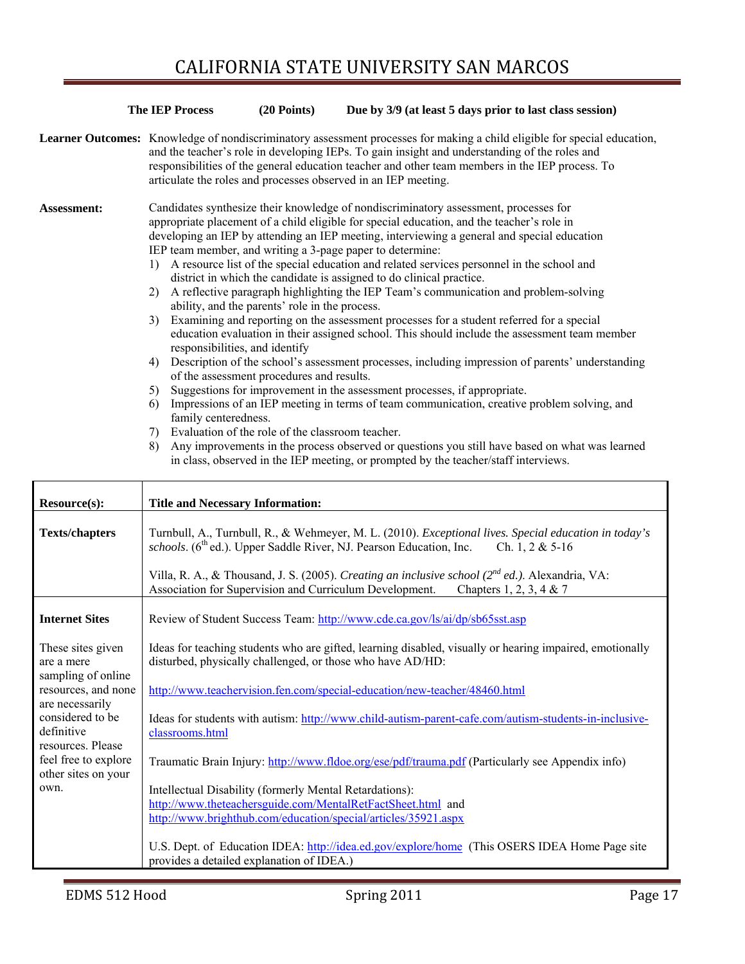|                    | <b>The IEP Process</b>                                                     | $(20$ Points)                                                                                                                                                                                                                                  | Due by 3/9 (at least 5 days prior to last class session)                                                                                                                                                                                                                                                                                                                                                                                                                                                                                                                                                                                                                                                                                                                                                                                                                                                                                                                                                                                                                                                                                                                                                               |
|--------------------|----------------------------------------------------------------------------|------------------------------------------------------------------------------------------------------------------------------------------------------------------------------------------------------------------------------------------------|------------------------------------------------------------------------------------------------------------------------------------------------------------------------------------------------------------------------------------------------------------------------------------------------------------------------------------------------------------------------------------------------------------------------------------------------------------------------------------------------------------------------------------------------------------------------------------------------------------------------------------------------------------------------------------------------------------------------------------------------------------------------------------------------------------------------------------------------------------------------------------------------------------------------------------------------------------------------------------------------------------------------------------------------------------------------------------------------------------------------------------------------------------------------------------------------------------------------|
|                    |                                                                            |                                                                                                                                                                                                                                                | <b>Learner Outcomes:</b> Knowledge of nondiscriminatory assessment processes for making a child eligible for special education,<br>and the teacher's role in developing IEPs. To gain insight and understanding of the roles and<br>responsibilities of the general education teacher and other team members in the IEP process. To<br>articulate the roles and processes observed in an IEP meeting.                                                                                                                                                                                                                                                                                                                                                                                                                                                                                                                                                                                                                                                                                                                                                                                                                  |
| <b>Assessment:</b> | 2)<br>3 <sup>)</sup><br>4)<br>5)<br>6)<br>family centeredness.<br>7)<br>8) | IEP team member, and writing a 3-page paper to determine:<br>ability, and the parents' role in the process.<br>responsibilities, and identify<br>of the assessment procedures and results.<br>Evaluation of the role of the classroom teacher. | Candidates synthesize their knowledge of nondiscriminatory assessment, processes for<br>appropriate placement of a child eligible for special education, and the teacher's role in<br>developing an IEP by attending an IEP meeting, interviewing a general and special education<br>1) A resource list of the special education and related services personnel in the school and<br>district in which the candidate is assigned to do clinical practice.<br>A reflective paragraph highlighting the IEP Team's communication and problem-solving<br>Examining and reporting on the assessment processes for a student referred for a special<br>education evaluation in their assigned school. This should include the assessment team member<br>Description of the school's assessment processes, including impression of parents' understanding<br>Suggestions for improvement in the assessment processes, if appropriate.<br>Impressions of an IEP meeting in terms of team communication, creative problem solving, and<br>Any improvements in the process observed or questions you still have based on what was learned<br>in class, observed in the IEP meeting, or prompted by the teacher/staff interviews. |

| Resource(s):                                                                                                                                                                                                  | <b>Title and Necessary Information:</b>                                                                                                                                                                                                                                                                                                                                                                                                                                                                                                                                                                                                                                         |
|---------------------------------------------------------------------------------------------------------------------------------------------------------------------------------------------------------------|---------------------------------------------------------------------------------------------------------------------------------------------------------------------------------------------------------------------------------------------------------------------------------------------------------------------------------------------------------------------------------------------------------------------------------------------------------------------------------------------------------------------------------------------------------------------------------------------------------------------------------------------------------------------------------|
| <b>Texts/chapters</b>                                                                                                                                                                                         | Turnbull, A., Turnbull, R., & Wehmeyer, M. L. (2010). Exceptional lives. Special education in today's<br>schools. (6 <sup>th</sup> ed.). Upper Saddle River, NJ. Pearson Education, Inc.<br>Ch. 1, 2 & $5-16$<br>Villa, R. A., & Thousand, J. S. (2005). Creating an inclusive school ( $2^{nd}$ ed.). Alexandria, VA:<br>Association for Supervision and Curriculum Development.<br>Chapters 1, 2, 3, 4 & 7                                                                                                                                                                                                                                                                    |
| <b>Internet Sites</b>                                                                                                                                                                                         | Review of Student Success Team: http://www.cde.ca.gov/ls/ai/dp/sb65sst.asp                                                                                                                                                                                                                                                                                                                                                                                                                                                                                                                                                                                                      |
| These sites given<br>are a mere<br>sampling of online<br>resources, and none<br>are necessarily<br>considered to be<br>definitive<br>resources. Please<br>feel free to explore<br>other sites on your<br>own. | Ideas for teaching students who are gifted, learning disabled, visually or hearing impaired, emotionally<br>disturbed, physically challenged, or those who have AD/HD:<br>http://www.teachervision.fen.com/special-education/new-teacher/48460.html<br>Ideas for students with autism: http://www.child-autism-parent-cafe.com/autism-students-in-inclusive-<br>classrooms.html<br>Traumatic Brain Injury: http://www.fldoe.org/ese/pdf/trauma.pdf (Particularly see Appendix info)<br>Intellectual Disability (formerly Mental Retardations):<br>http://www.theteachersguide.com/MentalRetFactSheet.html and<br>http://www.brighthub.com/education/special/articles/35921.aspx |
|                                                                                                                                                                                                               | U.S. Dept. of Education IDEA: http://idea.ed.gov/explore/home (This OSERS IDEA Home Page site<br>provides a detailed explanation of IDEA.)                                                                                                                                                                                                                                                                                                                                                                                                                                                                                                                                      |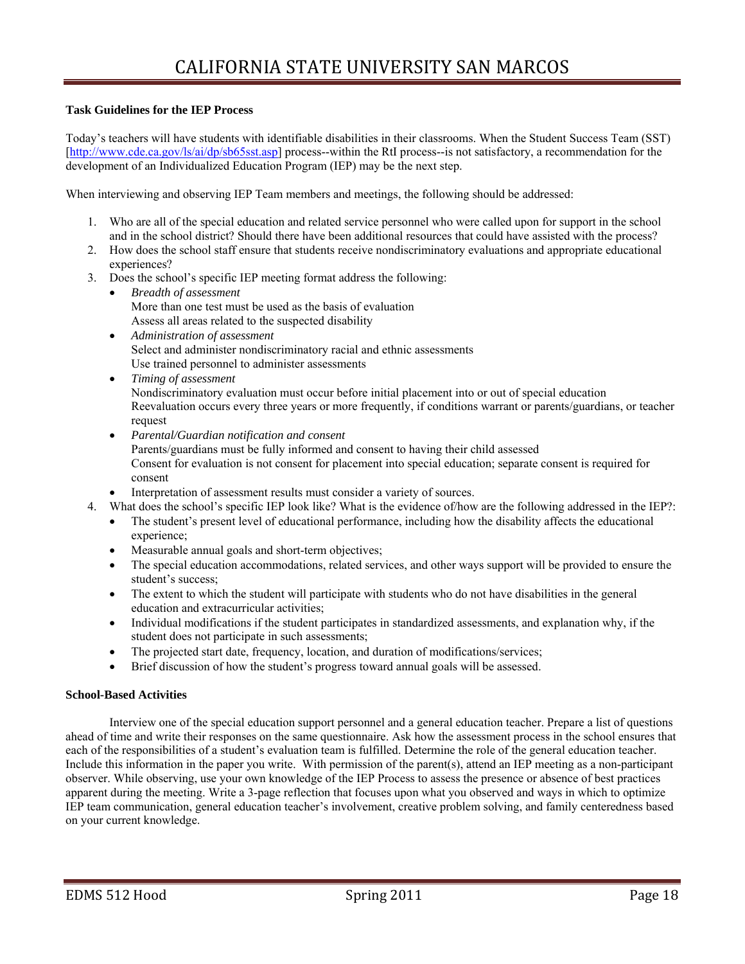#### **Task Guidelines for the IEP Process**

Today's teachers will have students with identifiable disabilities in their classrooms. When the Student Success Team (SST) [http://www.cde.ca.gov/ls/ai/dp/sb65sst.asp] process--within the RtI process--is not satisfactory, a recommendation for the development of an Individualized Education Program (IEP) may be the next step.

When interviewing and observing IEP Team members and meetings, the following should be addressed:

- 1. Who are all of the special education and related service personnel who were called upon for support in the school and in the school district? Should there have been additional resources that could have assisted with the process?
- 2. How does the school staff ensure that students receive nondiscriminatory evaluations and appropriate educational experiences?
- 3. Does the school's specific IEP meeting format address the following:
	- Assess all areas related to the suspected disability *Breadth of assessment*  More than one test must be used as the basis of evaluation
	- *Administration of assessment*  Select and administer nondiscriminatory racial and ethnic assessments Use trained personnel to administer assessments
	- *Timing of assessment*  Nondiscriminatory evaluation must occur before initial placement into or out of special education Reevaluation occurs every three years or more frequently, if conditions warrant or parents/guardians, or teacher request
	- *Parental/Guardian notification and consent*  Parents/guardians must be fully informed and consent to having their child assessed Consent for evaluation is not consent for placement into special education; separate consent is required for consent
	- Interpretation of assessment results must consider a variety of sources.
- 4. What does the school's specific IEP look like? What is the evidence of/how are the following addressed in the IEP?:
	- The student's present level of educational performance, including how the disability affects the educational experience;
	- Measurable annual goals and short-term objectives;
	- The special education accommodations, related services, and other ways support will be provided to ensure the student's success;
	- The extent to which the student will participate with students who do not have disabilities in the general education and extracurricular activities;
	- Individual modifications if the student participates in standardized assessments, and explanation why, if the student does not participate in such assessments;
	- The projected start date, frequency, location, and duration of modifications/services;
	- Brief discussion of how the student's progress toward annual goals will be assessed.

#### **School-Based Activities**

 Interview one of the special education support personnel and a general education teacher. Prepare a list of questions Include this information in the paper you write. With permission of the parent(s), attend an IEP meeting as a non-participant ahead of time and write their responses on the same questionnaire. Ask how the assessment process in the school ensures that each of the responsibilities of a student's evaluation team is fulfilled. Determine the role of the general education teacher. observer. While observing, use your own knowledge of the IEP Process to assess the presence or absence of best practices apparent during the meeting. Write a 3-page reflection that focuses upon what you observed and ways in which to optimize IEP team communication, general education teacher's involvement, creative problem solving, and family centeredness based on your current knowledge.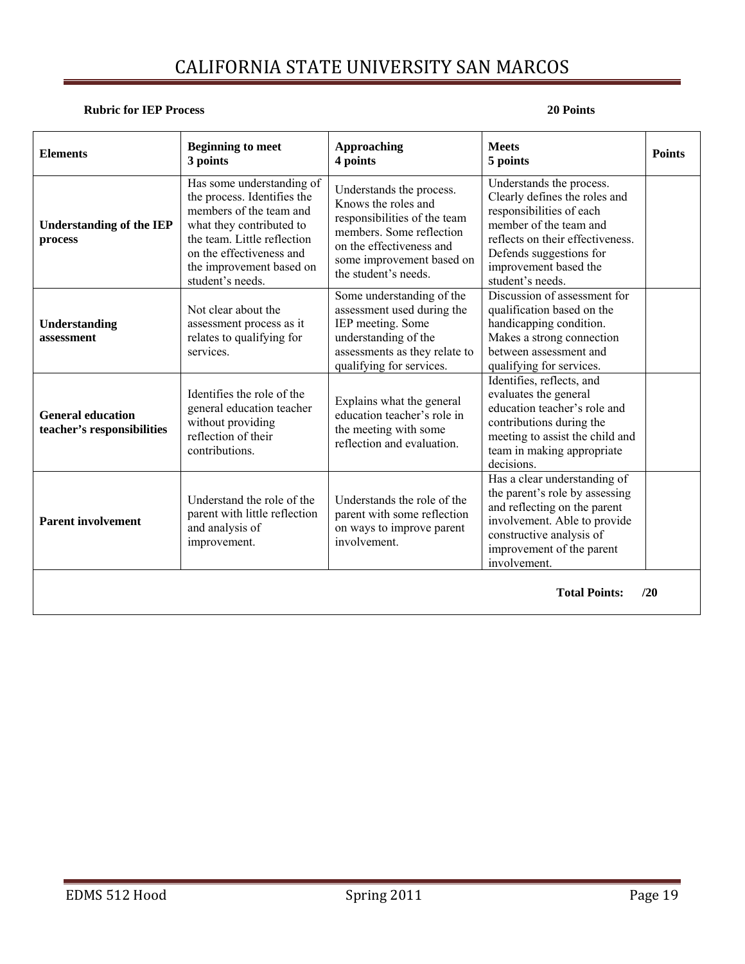### **Rubric for IEP Process** 20 Points **20 Points**

| <b>Elements</b>                                        | <b>Beginning to meet</b><br>3 points                                                                                                                                                                                       | <b>Approaching</b><br>4 points                                                                                                                                                               | <b>Meets</b><br>5 points                                                                                                                                                                                                    | <b>Points</b> |  |  |  |
|--------------------------------------------------------|----------------------------------------------------------------------------------------------------------------------------------------------------------------------------------------------------------------------------|----------------------------------------------------------------------------------------------------------------------------------------------------------------------------------------------|-----------------------------------------------------------------------------------------------------------------------------------------------------------------------------------------------------------------------------|---------------|--|--|--|
| <b>Understanding of the IEP</b><br>process             | Has some understanding of<br>the process. Identifies the<br>members of the team and<br>what they contributed to<br>the team. Little reflection<br>on the effectiveness and<br>the improvement based on<br>student's needs. | Understands the process.<br>Knows the roles and<br>responsibilities of the team<br>members. Some reflection<br>on the effectiveness and<br>some improvement based on<br>the student's needs. | Understands the process.<br>Clearly defines the roles and<br>responsibilities of each<br>member of the team and<br>reflects on their effectiveness.<br>Defends suggestions for<br>improvement based the<br>student's needs. |               |  |  |  |
| Understanding<br>assessment                            | Not clear about the<br>assessment process as it<br>relates to qualifying for<br>services.                                                                                                                                  | Some understanding of the<br>assessment used during the<br>IEP meeting. Some<br>understanding of the<br>assessments as they relate to<br>qualifying for services.                            | Discussion of assessment for<br>qualification based on the<br>handicapping condition.<br>Makes a strong connection<br>between assessment and<br>qualifying for services.                                                    |               |  |  |  |
| <b>General education</b><br>teacher's responsibilities | Identifies the role of the<br>general education teacher<br>without providing<br>reflection of their<br>contributions.                                                                                                      | Explains what the general<br>education teacher's role in<br>the meeting with some<br>reflection and evaluation.                                                                              | Identifies, reflects, and<br>evaluates the general<br>education teacher's role and<br>contributions during the<br>meeting to assist the child and<br>team in making appropriate<br>decisions.                               |               |  |  |  |
| <b>Parent involvement</b>                              | Understand the role of the<br>parent with little reflection<br>and analysis of<br>improvement.                                                                                                                             | Understands the role of the<br>parent with some reflection<br>on ways to improve parent<br>involvement.                                                                                      | Has a clear understanding of<br>the parent's role by assessing<br>and reflecting on the parent<br>involvement. Able to provide<br>constructive analysis of<br>improvement of the parent<br>involvement.                     |               |  |  |  |
| <b>Total Points:</b><br>120                            |                                                                                                                                                                                                                            |                                                                                                                                                                                              |                                                                                                                                                                                                                             |               |  |  |  |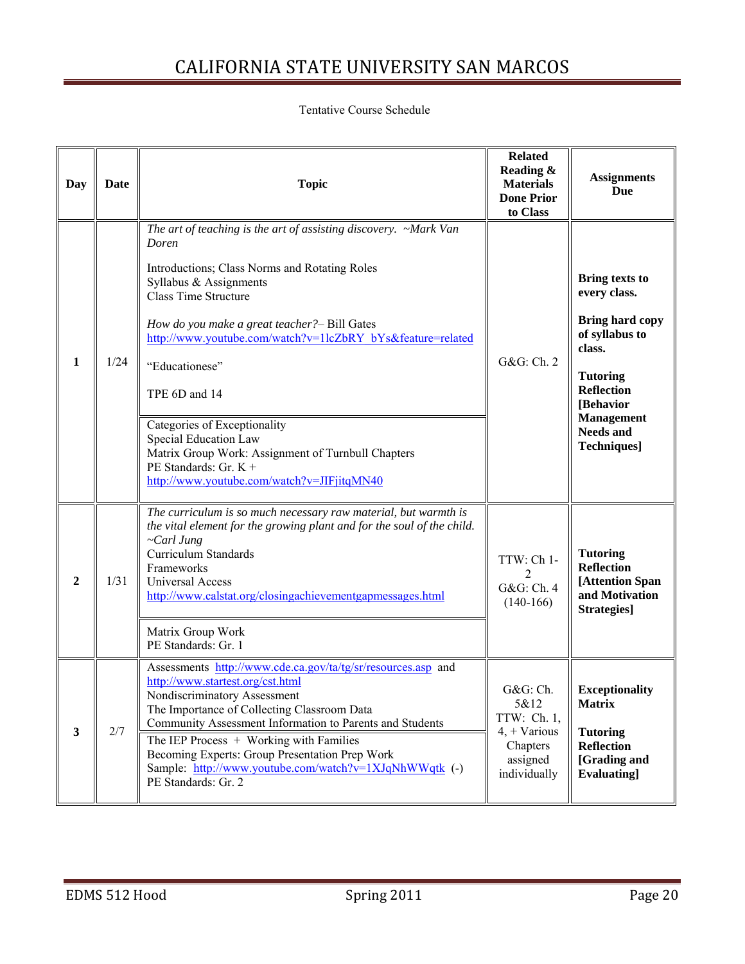### Tentative Course Schedule

| Day              | Date | <b>Topic</b>                                                                                                                                                                                                                                                                                                                                                                                                                                                                                                                 | <b>Related</b><br>Reading &<br><b>Materials</b><br><b>Done Prior</b><br>to Class          | <b>Assignments</b><br>Due                                                                                                                                                                                        |
|------------------|------|------------------------------------------------------------------------------------------------------------------------------------------------------------------------------------------------------------------------------------------------------------------------------------------------------------------------------------------------------------------------------------------------------------------------------------------------------------------------------------------------------------------------------|-------------------------------------------------------------------------------------------|------------------------------------------------------------------------------------------------------------------------------------------------------------------------------------------------------------------|
| 1                | 1/24 | The art of teaching is the art of assisting discovery. ~Mark Van<br>Doren<br>Introductions; Class Norms and Rotating Roles<br>Syllabus & Assignments<br><b>Class Time Structure</b><br>How do you make a great teacher?- Bill Gates<br>http://www.youtube.com/watch?v=1lcZbRY_bYs&feature=related<br>"Educationese"<br>TPE 6D and 14<br>Categories of Exceptionality<br>Special Education Law<br>Matrix Group Work: Assignment of Turnbull Chapters<br>PE Standards: Gr. $K +$<br>http://www.youtube.com/watch?v=JIFjitqMN40 | G&G: Ch. 2                                                                                | <b>Bring texts to</b><br>every class.<br><b>Bring hard copy</b><br>of syllabus to<br>class.<br><b>Tutoring</b><br><b>Reflection</b><br>[Behavior<br><b>Management</b><br><b>Needs and</b><br><b>Techniques</b> ] |
| $\boldsymbol{2}$ | 1/31 | The curriculum is so much necessary raw material, but warmth is<br>the vital element for the growing plant and for the soul of the child.<br>~Carl Jung<br><b>Curriculum Standards</b><br>Frameworks<br><b>Universal Access</b><br>http://www.calstat.org/closingachievementgapmessages.html<br>Matrix Group Work<br>PE Standards: Gr. 1                                                                                                                                                                                     | TTW: Ch 1-<br>G&G: Ch. 4<br>$(140-166)$                                                   | <b>Tutoring</b><br><b>Reflection</b><br>[Attention Span<br>and Motivation<br>Strategies]                                                                                                                         |
| $\mathbf{3}$     | 2/7  | Assessments http://www.cde.ca.gov/ta/tg/sr/resources.asp and<br>http://www.startest.org/cst.html<br>Nondiscriminatory Assessment<br>The Importance of Collecting Classroom Data<br>Community Assessment Information to Parents and Students<br>The IEP Process + Working with Families<br>Becoming Experts: Group Presentation Prep Work<br>Sample: http://www.youtube.com/watch?v=1XJqNhWWqtk (-)<br>PE Standards: Gr. 2                                                                                                    | G&G: Ch.<br>5&12<br>TTW: Ch. 1,<br>$4, + Various$<br>Chapters<br>assigned<br>individually | <b>Exceptionality</b><br><b>Matrix</b><br><b>Tutoring</b><br><b>Reflection</b><br>[Grading and<br><b>Evaluating</b>                                                                                              |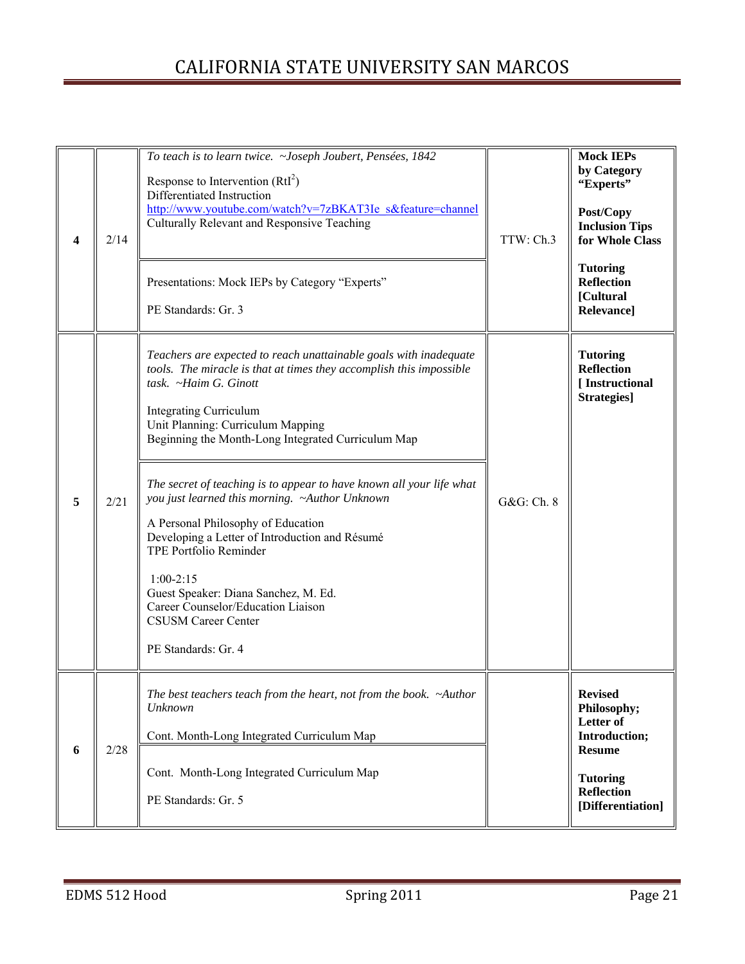| 4 | 2/14 | To teach is to learn twice. ~Joseph Joubert, Pensées, 1842<br>Response to Intervention $(RtI2)$<br>Differentiated Instruction<br>http://www.youtube.com/watch?v=7zBKAT3Ie s&feature=channel<br>Culturally Relevant and Responsive Teaching<br>Presentations: Mock IEPs by Category "Experts"<br>PE Standards: Gr. 3                                                                                                                                                                                                                                                                                                                                                                                | TTW: Ch.3  | <b>Mock IEPs</b><br>by Category<br>"Experts"<br>Post/Copy<br><b>Inclusion Tips</b><br>for Whole Class<br><b>Tutoring</b><br><b>Reflection</b><br>[Cultural<br>Relevance] |
|---|------|----------------------------------------------------------------------------------------------------------------------------------------------------------------------------------------------------------------------------------------------------------------------------------------------------------------------------------------------------------------------------------------------------------------------------------------------------------------------------------------------------------------------------------------------------------------------------------------------------------------------------------------------------------------------------------------------------|------------|--------------------------------------------------------------------------------------------------------------------------------------------------------------------------|
| 5 | 2/21 | Teachers are expected to reach unattainable goals with inadequate<br>tools. The miracle is that at times they accomplish this impossible<br>task. ~Haim G. Ginott<br><b>Integrating Curriculum</b><br>Unit Planning: Curriculum Mapping<br>Beginning the Month-Long Integrated Curriculum Map<br>The secret of teaching is to appear to have known all your life what<br>you just learned this morning. ~Author Unknown<br>A Personal Philosophy of Education<br>Developing a Letter of Introduction and Résumé<br><b>TPE Portfolio Reminder</b><br>$1:00-2:15$<br>Guest Speaker: Diana Sanchez, M. Ed.<br>Career Counselor/Education Liaison<br><b>CSUSM Career Center</b><br>PE Standards: Gr. 4 | G&G: Ch. 8 | <b>Tutoring</b><br><b>Reflection</b><br>[Instructional<br>Strategies]                                                                                                    |
| 6 | 2/28 | The best teachers teach from the heart, not from the book. ~Author<br>Unknown<br>Cont. Month-Long Integrated Curriculum Map<br>Cont. Month-Long Integrated Curriculum Map<br>PE Standards: Gr. 5                                                                                                                                                                                                                                                                                                                                                                                                                                                                                                   |            | <b>Revised</b><br>Philosophy;<br>Letter of<br>Introduction;<br><b>Resume</b><br><b>Tutoring</b><br><b>Reflection</b><br>[Differentiation]                                |